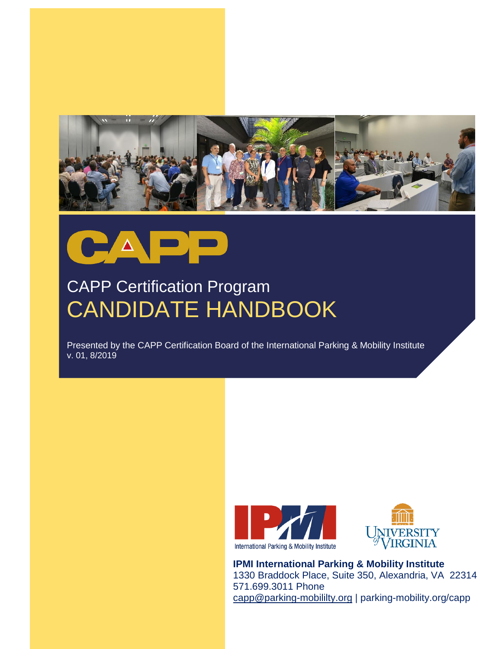



# CAPP Certification Program CANDIDATE HANDBOOK

Presented by the CAPP Certification Board of the International Parking & Mobility Institute v. 01, 8/2019





**IPMI International Parking & Mobility Institute** 1330 Braddock Place, Suite 350, Alexandria, VA 22314 571.699.3011 Phone [capp@parking-mobililty.org](mailto:capp@parking-mobililty.org) | parking-mobility.org/capp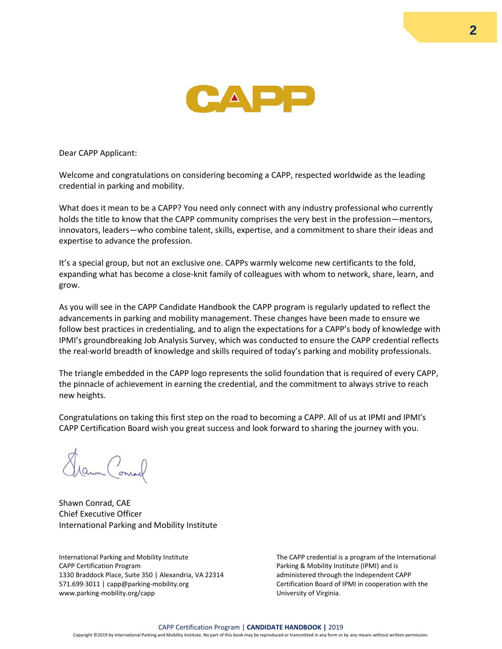

Dear CAPP Applicant:

Welcome and congratulations on considering becoming a CAPP, respected worldwide as the leading credential in parking and mobility.

What does it mean to be a CAPP? You need only connect with any industry professional who currently holds the title to know that the CAPP community comprises the very best in the profession—mentors, innovators, leaders—who combine talent, skills, expertise, and a commitment to share their ideas and expertise to advance the profession.

It's a special group, but not an exclusive one. CAPPs warmly welcome new certificants to the fold, expanding what has become a close-knit family of colleagues with whom to network, share, learn, and grow.

As you will see in the CAPP Candidate Handbook the CAPP program is regularly updated to reflect the advancements in parking and mobility management. These changes have been made to ensure we follow best practices in credentialing, and to align the expectations for a CAPP's body of knowledge with IPMI's groundbreaking Job Analysis Survey, which was conducted to ensure the CAPP credential reflects the real-world breadth of knowledge and skills required of today's parking and mobility professionals.

The triangle embedded in the CAPP logo represents the solid foundation that is required of every CAPP, the pinnacle of achievement in earning the credential, and the commitment to always strive to reach new heights.

Congratulations on taking this first step on the road to becoming a CAPP. All of us at IPMI and IPMI's CAPP Certification Board wish you great success and look forward to sharing the journey with you.

aun Conrad

Shawn Conrad, CAE Chief Executive Officer International Parking and Mobility Institute

International Parking and Mobility Institute CAPP Certification Program 1330 Braddock Place, Suite 350 | Alexandria, VA 22314 571.699·3011 | capp@parking-mobility.org www.parking-mobility.org/capp

The CAPP credential is a program of the International Parking & Mobility Institute (IPMI) and is administered through the Independent CAPP Certification Board of IPMI in cooperation with the University of Virginia.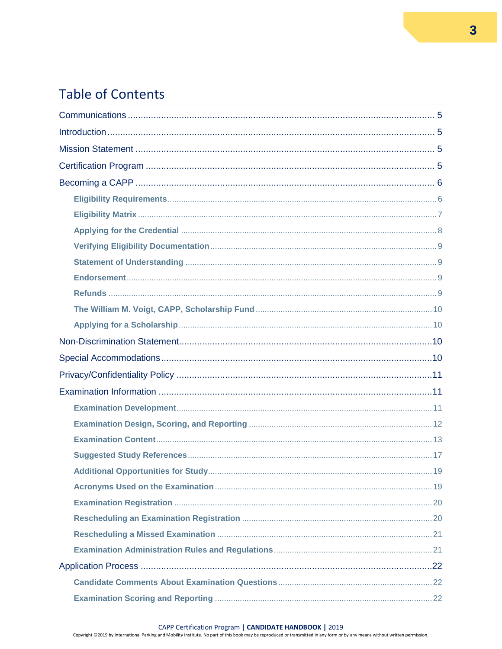# **Table of Contents**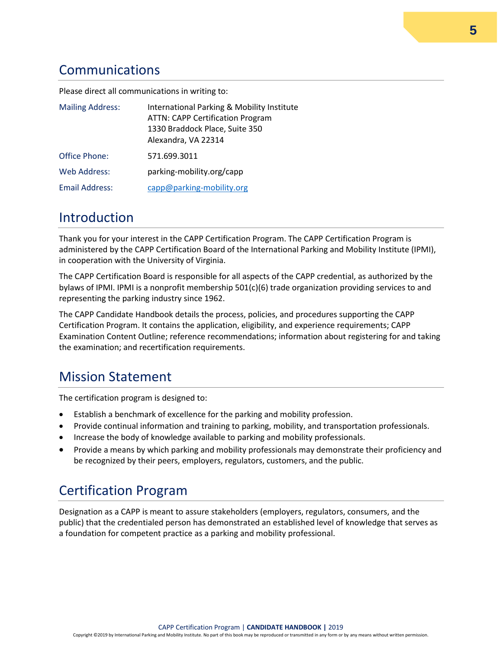# <span id="page-4-0"></span>Communications

Please direct all communications in writing to:

| <b>Mailing Address:</b> | International Parking & Mobility Institute<br><b>ATTN: CAPP Certification Program</b><br>1330 Braddock Place, Suite 350<br>Alexandra, VA 22314 |
|-------------------------|------------------------------------------------------------------------------------------------------------------------------------------------|
| Office Phone:           | 571.699.3011                                                                                                                                   |
| <b>Web Address:</b>     | parking-mobility.org/capp                                                                                                                      |
| Email Address:          | capp@parking-mobility.org                                                                                                                      |

### <span id="page-4-1"></span>Introduction

Thank you for your interest in the CAPP Certification Program. The CAPP Certification Program is administered by the CAPP Certification Board of the International Parking and Mobility Institute (IPMI), in cooperation with the University of Virginia.

The CAPP Certification Board is responsible for all aspects of the CAPP credential, as authorized by the bylaws of IPMI. IPMI is a nonprofit membership 501(c)(6) trade organization providing services to and representing the parking industry since 1962.

The CAPP Candidate Handbook details the process, policies, and procedures supporting the CAPP Certification Program. It contains the application, eligibility, and experience requirements; CAPP Examination Content Outline; reference recommendations; information about registering for and taking the examination; and recertification requirements.

# <span id="page-4-2"></span>Mission Statement

The certification program is designed to:

- Establish a benchmark of excellence for the parking and mobility profession.
- Provide continual information and training to parking, mobility, and transportation professionals.
- Increase the body of knowledge available to parking and mobility professionals.
- Provide a means by which parking and mobility professionals may demonstrate their proficiency and be recognized by their peers, employers, regulators, customers, and the public.

# <span id="page-4-3"></span>Certification Program

Designation as a CAPP is meant to assure stakeholders (employers, regulators, consumers, and the public) that the credentialed person has demonstrated an established level of knowledge that serves as a foundation for competent practice as a parking and mobility professional.

Copyright ©2019 by International Parking and Mobility Institute. No part of this book may be reproduced or transmitted in any form or by any means without written permission.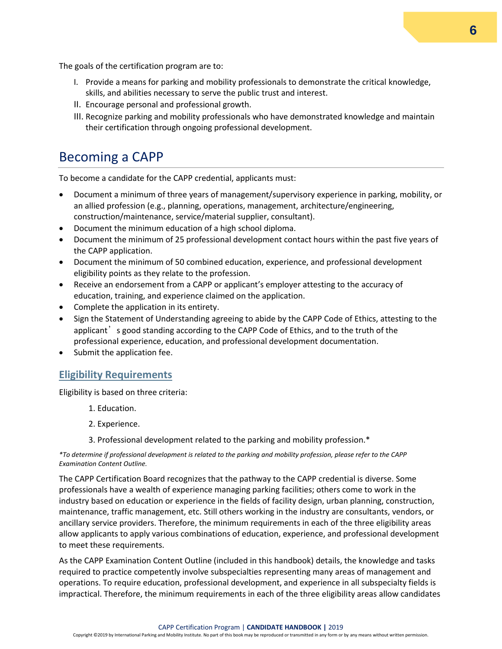The goals of the certification program are to:

- I. Provide a means for parking and mobility professionals to demonstrate the critical knowledge, skills, and abilities necessary to serve the public trust and interest.
- II. Encourage personal and professional growth.
- III. Recognize parking and mobility professionals who have demonstrated knowledge and maintain their certification through ongoing professional development.

# <span id="page-5-0"></span>Becoming a CAPP

To become a candidate for the CAPP credential, applicants must:

- Document a minimum of three years of management/supervisory experience in parking, mobility, or an allied profession (e.g., planning, operations, management, architecture/engineering, construction/maintenance, service/material supplier, consultant).
- Document the minimum education of a high school diploma.
- Document the minimum of 25 professional development contact hours within the past five years of the CAPP application.
- Document the minimum of 50 combined education, experience, and professional development eligibility points as they relate to the profession.
- Receive an endorsement from a CAPP or applicant's employer attesting to the accuracy of education, training, and experience claimed on the application.
- Complete the application in its entirety.
- Sign the Statement of Understanding agreeing to abide by the CAPP Code of Ethics, attesting to the applicant's good standing according to the CAPP Code of Ethics, and to the truth of the professional experience, education, and professional development documentation.
- Submit the application fee.

#### <span id="page-5-1"></span>**Eligibility Requirements**

Eligibility is based on three criteria:

- 1. Education.
- 2. Experience.
- 3. Professional development related to the parking and mobility profession.\*

#### *\*To determine if professional development is related to the parking and mobility profession, please refer to the CAPP Examination Content Outline.*

The CAPP Certification Board recognizes that the pathway to the CAPP credential is diverse. Some professionals have a wealth of experience managing parking facilities; others come to work in the industry based on education or experience in the fields of facility design, urban planning, construction, maintenance, traffic management, etc. Still others working in the industry are consultants, vendors, or ancillary service providers. Therefore, the minimum requirements in each of the three eligibility areas allow applicants to apply various combinations of education, experience, and professional development to meet these requirements.

As the CAPP Examination Content Outline (included in this handbook) details, the knowledge and tasks required to practice competently involve subspecialties representing many areas of management and operations. To require education, professional development, and experience in all subspecialty fields is impractical. Therefore, the minimum requirements in each of the three eligibility areas allow candidates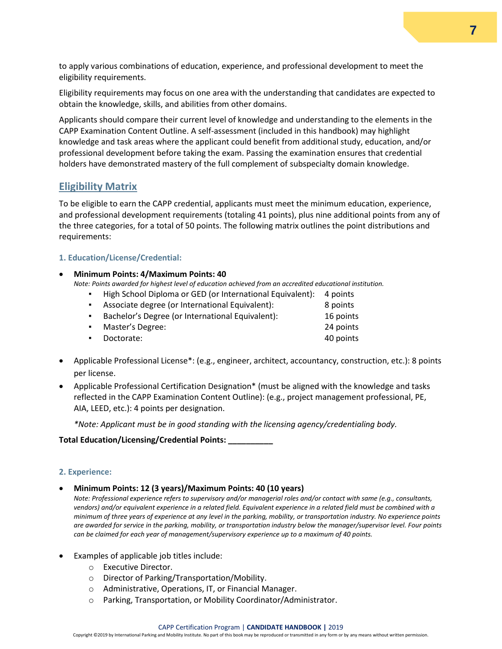to apply various combinations of education, experience, and professional development to meet the eligibility requirements.

Eligibility requirements may focus on one area with the understanding that candidates are expected to obtain the knowledge, skills, and abilities from other domains.

Applicants should compare their current level of knowledge and understanding to the elements in the CAPP Examination Content Outline. A self-assessment (included in this handbook) may highlight knowledge and task areas where the applicant could benefit from additional study, education, and/or professional development before taking the exam. Passing the examination ensures that credential holders have demonstrated mastery of the full complement of subspecialty domain knowledge.

#### <span id="page-6-0"></span>**Eligibility Matrix**

To be eligible to earn the CAPP credential, applicants must meet the minimum education, experience, and professional development requirements (totaling 41 points), plus nine additional points from any of the three categories, for a total of 50 points. The following matrix outlines the point distributions and requirements:

#### **1. Education/License/Credential:**

• **Minimum Points: 4/Maximum Points: 40**

*Note: Points awarded for highest level of education achieved from an accredited educational institution.*

- High School Diploma or GED (or International Equivalent): 4 points **EXECT:** Associate degree (or International Equivalent): 8 points ▪ Bachelor's Degree (or International Equivalent): 16 points **•** Master's Degree: 24 points ▪ Doctorate: 40 points
- Applicable Professional License\*: (e.g., engineer, architect, accountancy, construction, etc.): 8 points per license.
- Applicable Professional Certification Designation\* (must be aligned with the knowledge and tasks reflected in the CAPP Examination Content Outline): (e.g., project management professional, PE, AIA, LEED, etc.): 4 points per designation.

*\*Note: Applicant must be in good standing with the licensing agency/credentialing body.* 

#### **Total Education/Licensing/Credential Points: \_\_\_\_\_\_\_\_\_\_**

#### **2. Experience:**

• **Minimum Points: 12 (3 years)/Maximum Points: 40 (10 years)**

*Note: Professional experience refers to supervisory and/or managerial roles and/or contact with same (e.g., consultants,*  vendors) and/or equivalent experience in a related field. Equivalent experience in a related field must be combined with a *minimum of three years of experience at any level in the parking, mobility, or transportation industry. No experience points are awarded for service in the parking, mobility, or transportation industry below the manager/supervisor level. Four points can be claimed for each year of management/supervisory experience up to a maximum of 40 points.* 

- Examples of applicable job titles include:
	- o Executive Director.
	- o Director of Parking/Transportation/Mobility.
	- o Administrative, Operations, IT, or Financial Manager.
	- o Parking, Transportation, or Mobility Coordinator/Administrator.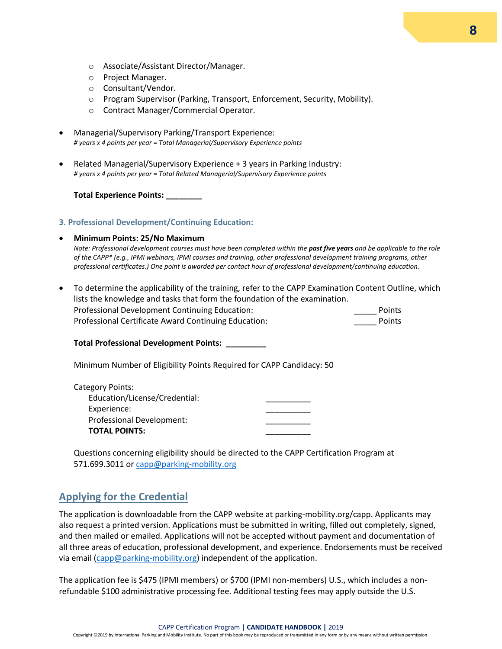- o Associate/Assistant Director/Manager.
- o Project Manager.
- o Consultant/Vendor.
- o Program Supervisor (Parking, Transport, Enforcement, Security, Mobility).
- o Contract Manager/Commercial Operator.
- Managerial/Supervisory Parking/Transport Experience: *# years x 4 points per year = Total Managerial/Supervisory Experience points*
- Related Managerial/Supervisory Experience + 3 years in Parking Industry: *# years x 4 points per year = Total Related Managerial/Supervisory Experience points*

**Total Experience Points: \_\_\_\_\_\_\_\_** 

#### **3. Professional Development/Continuing Education:**

#### • **Minimum Points: 25/No Maximum**

*Note: Professional development courses must have been completed within the past five years and be applicable to the role of the CAPP\* (e.g., IPMI webinars, IPMI courses and training, other professional development training programs, other professional certificates.) One point is awarded per contact hour of professional development/continuing education.* 

• To determine the applicability of the training, refer to the CAPP Examination Content Outline, which lists the knowledge and tasks that form the foundation of the examination. Professional Development Continuing Education: <br>Points Professional Certificate Award Continuing Education: The Context of Points

#### **Total Professional Development Points: \_\_\_\_\_\_\_\_\_**

Minimum Number of Eligibility Points Required for CAPP Candidacy: 50

| Category Points:              |  |
|-------------------------------|--|
| Education/License/Credential: |  |
| Experience:                   |  |
| Professional Development:     |  |
| <b>TOTAL POINTS:</b>          |  |

Questions concerning eligibility should be directed to the CAPP Certification Program at 571.699.3011 or [capp@parking-mobility.org](mailto:capp@parking-mobility.org)

#### <span id="page-7-0"></span>**Applying for the Credential**

The application is downloadable from the CAPP website at parking-mobility.org/capp. Applicants may also request a printed version. Applications must be submitted in writing, filled out completely, signed, and then mailed or emailed. Applications will not be accepted without payment and documentation of all three areas of education, professional development, and experience. Endorsements must be received via email [\(capp@parking-mobility.org\)](mailto:capp@parking-mobility.org) independent of the application.

The application fee is \$475 (IPMI members) or \$700 (IPMI non-members) U.S., which includes a nonrefundable \$100 administrative processing fee. Additional testing fees may apply outside the U.S.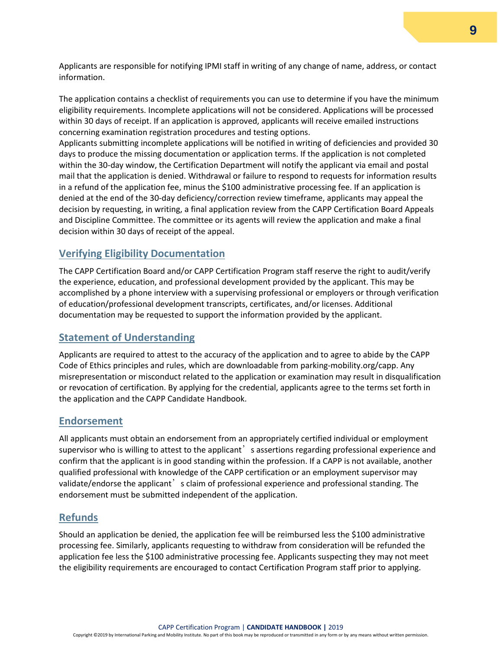Applicants are responsible for notifying IPMI staff in writing of any change of name, address, or contact information.

The application contains a checklist of requirements you can use to determine if you have the minimum eligibility requirements. Incomplete applications will not be considered. Applications will be processed within 30 days of receipt. If an application is approved, applicants will receive emailed instructions concerning examination registration procedures and testing options.

Applicants submitting incomplete applications will be notified in writing of deficiencies and provided 30 days to produce the missing documentation or application terms. If the application is not completed within the 30-day window, the Certification Department will notify the applicant via email and postal mail that the application is denied. Withdrawal or failure to respond to requests for information results in a refund of the application fee, minus the \$100 administrative processing fee. If an application is denied at the end of the 30-day deficiency/correction review timeframe, applicants may appeal the decision by requesting, in writing, a final application review from the CAPP Certification Board Appeals and Discipline Committee. The committee or its agents will review the application and make a final decision within 30 days of receipt of the appeal.

#### <span id="page-8-0"></span>**Verifying Eligibility Documentation**

The CAPP Certification Board and/or CAPP Certification Program staff reserve the right to audit/verify the experience, education, and professional development provided by the applicant. This may be accomplished by a phone interview with a supervising professional or employers or through verification of education/professional development transcripts, certificates, and/or licenses. Additional documentation may be requested to support the information provided by the applicant.

#### <span id="page-8-1"></span>**Statement of Understanding**

Applicants are required to attest to the accuracy of the application and to agree to abide by the CAPP Code of Ethics principles and rules, which are downloadable from parking-mobility.org/capp. Any misrepresentation or misconduct related to the application or examination may result in disqualification or revocation of certification. By applying for the credential, applicants agree to the terms set forth in the application and the CAPP Candidate Handbook.

#### <span id="page-8-2"></span>**Endorsement**

All applicants must obtain an endorsement from an appropriately certified individual or employment supervisor who is willing to attest to the applicant' s assertions regarding professional experience and confirm that the applicant is in good standing within the profession. If a CAPP is not available, another qualified professional with knowledge of the CAPP certification or an employment supervisor may validate/endorse the applicant is claim of professional experience and professional standing. The endorsement must be submitted independent of the application.

#### <span id="page-8-3"></span>**Refunds**

Should an application be denied, the application fee will be reimbursed less the \$100 administrative processing fee. Similarly, applicants requesting to withdraw from consideration will be refunded the application fee less the \$100 administrative processing fee. Applicants suspecting they may not meet the eligibility requirements are encouraged to contact Certification Program staff prior to applying.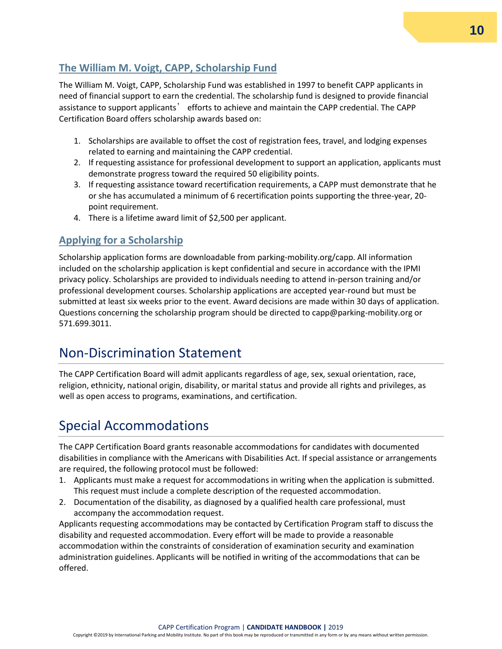# **10**

# <span id="page-9-4"></span><span id="page-9-0"></span>**The William M. Voigt, CAPP, Scholarship Fund**

The William M. Voigt, CAPP, Scholarship Fund was established in 1997 to benefit CAPP applicants in need of financial support to earn the credential. The scholarship fund is designed to provide financial assistance to support applicants' efforts to achieve and maintain the CAPP credential. The CAPP Certification Board offers scholarship awards based on:

- 1. Scholarships are available to offset the cost of registration fees, travel, and lodging expenses related to earning and maintaining the CAPP credential.
- 2. If requesting assistance for professional development to support an application, applicants must demonstrate progress toward the required 50 eligibility points.
- 3. If requesting assistance toward recertification requirements, a CAPP must demonstrate that he or she has accumulated a minimum of 6 recertification points supporting the three-year, 20 point requirement.
- 4. There is a lifetime award limit of \$2,500 per applicant.

# <span id="page-9-1"></span>**Applying for a Scholarship**

Scholarship application forms are downloadable from parking-mobility.org/capp. All information included on the scholarship application is kept confidential and secure in accordance with the IPMI privacy policy. Scholarships are provided to individuals needing to attend in-person training and/or professional development courses. Scholarship applications are accepted year-round but must be submitted at least six weeks prior to the event. Award decisions are made within 30 days of application. Questions concerning the scholarship program should be directed to capp@parking-mobility.org or 571.699.3011.

# <span id="page-9-2"></span>Non-Discrimination Statement

The CAPP Certification Board will admit applicants regardless of age, sex, sexual orientation, race, religion, ethnicity, national origin, disability, or marital status and provide all rights and privileges, as well as open access to programs, examinations, and certification.

# <span id="page-9-3"></span>Special Accommodations

The CAPP Certification Board grants reasonable accommodations for candidates with documented disabilities in compliance with the Americans with Disabilities Act. If special assistance or arrangements are required, the following protocol must be followed:

- 1. Applicants must make a request for accommodations in writing when the application is submitted. This request must include a complete description of the requested accommodation.
- 2. Documentation of the disability, as diagnosed by a qualified health care professional, must accompany the accommodation request.

Applicants requesting accommodations may be contacted by Certification Program staff to discuss the disability and requested accommodation. Every effort will be made to provide a reasonable accommodation within the constraints of consideration of examination security and examination administration guidelines. Applicants will be notified in writing of the accommodations that can be offered.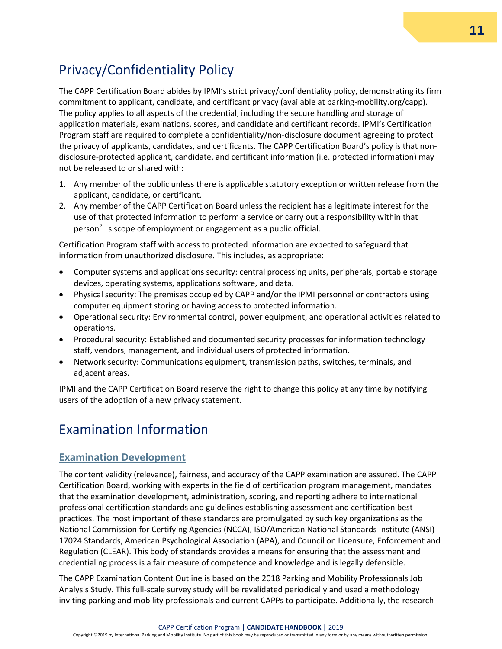# Privacy/Confidentiality Policy

The CAPP Certification Board abides by IPMI's strict privacy/confidentiality policy, demonstrating its firm commitment to applicant, candidate, and certificant privacy (available at parking-mobility.org/capp). The policy applies to all aspects of the credential, including the secure handling and storage of application materials, examinations, scores, and candidate and certificant records. IPMI's Certification Program staff are required to complete a confidentiality/non-disclosure document agreeing to protect the privacy of applicants, candidates, and certificants. The CAPP Certification Board's policy is that nondisclosure-protected applicant, candidate, and certificant information (i.e. protected information) may not be released to or shared with:

- 1. Any member of the public unless there is applicable statutory exception or written release from the applicant, candidate, or certificant.
- 2. Any member of the CAPP Certification Board unless the recipient has a legitimate interest for the use of that protected information to perform a service or carry out a responsibility within that person's scope of employment or engagement as a public official.

Certification Program staff with access to protected information are expected to safeguard that information from unauthorized disclosure. This includes, as appropriate:

- Computer systems and applications security: central processing units, peripherals, portable storage devices, operating systems, applications software, and data.
- Physical security: The premises occupied by CAPP and/or the IPMI personnel or contractors using computer equipment storing or having access to protected information.
- Operational security: Environmental control, power equipment, and operational activities related to operations.
- Procedural security: Established and documented security processes for information technology staff, vendors, management, and individual users of protected information.
- Network security: Communications equipment, transmission paths, switches, terminals, and adjacent areas.

IPMI and the CAPP Certification Board reserve the right to change this policy at any time by notifying users of the adoption of a new privacy statement.

# <span id="page-10-0"></span>Examination Information

#### <span id="page-10-1"></span>**Examination Development**

The content validity (relevance), fairness, and accuracy of the CAPP examination are assured. The CAPP Certification Board, working with experts in the field of certification program management, mandates that the examination development, administration, scoring, and reporting adhere to international professional certification standards and guidelines establishing assessment and certification best practices. The most important of these standards are promulgated by such key organizations as the National Commission for Certifying Agencies (NCCA), ISO/American National Standards Institute (ANSI) 17024 Standards, American Psychological Association (APA), and Council on Licensure, Enforcement and Regulation (CLEAR). This body of standards provides a means for ensuring that the assessment and credentialing process is a fair measure of competence and knowledge and is legally defensible.

The CAPP Examination Content Outline is based on the 2018 Parking and Mobility Professionals Job Analysis Study. This full-scale survey study will be revalidated periodically and used a methodology inviting parking and mobility professionals and current CAPPs to participate. Additionally, the research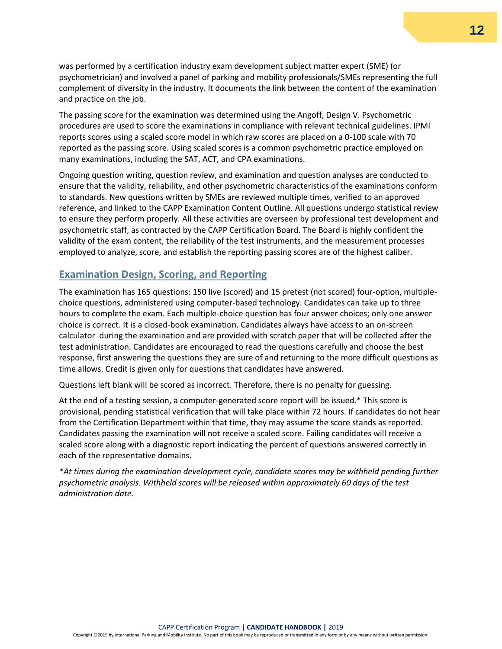was performed by a certification industry exam development subject matter expert (SME) (or psychometrician) and involved a panel of parking and mobility professionals/SMEs representing the full complement of diversity in the industry. It documents the link between the content of the examination and practice on the job.

The passing score for the examination was determined using the Angoff, Design V. Psychometric procedures are used to score the examinations in compliance with relevant technical guidelines. IPMI reports scores using a scaled score model in which raw scores are placed on a 0-100 scale with 70 reported as the passing score. Using scaled scores is a common psychometric practice employed on many examinations, including the SAT, ACT, and CPA examinations.

Ongoing question writing, question review, and examination and question analyses are conducted to ensure that the validity, reliability, and other psychometric characteristics of the examinations conform to standards. New questions written by SMEs are reviewed multiple times, verified to an approved reference, and linked to the CAPP Examination Content Outline. All questions undergo statistical review to ensure they perform properly. All these activities are overseen by professional test development and psychometric staff, as contracted by the CAPP Certification Board. The Board is highly confident the validity of the exam content, the reliability of the test instruments, and the measurement processes employed to analyze, score, and establish the reporting passing scores are of the highest caliber.

#### <span id="page-11-0"></span>**Examination Design, Scoring, and Reporting**

The examination has 165 questions: 150 live (scored) and 15 pretest (not scored) four-option, multiplechoice questions, administered using computer-based technology. Candidates can take up to three hours to complete the exam. Each multiple-choice question has four answer choices; only one answer choice is correct. It is a closed-book examination. Candidates always have access to an on-screen calculator during the examination and are provided with scratch paper that will be collected after the test administration. Candidates are encouraged to read the questions carefully and choose the best response, first answering the questions they are sure of and returning to the more difficult questions as time allows. Credit is given only for questions that candidates have answered.

Questions left blank will be scored as incorrect. Therefore, there is no penalty for guessing.

At the end of a testing session, a computer-generated score report will be issued.\* This score is provisional, pending statistical verification that will take place within 72 hours. If candidates do not hear from the Certification Department within that time, they may assume the score stands as reported. Candidates passing the examination will not receive a scaled score. Failing candidates will receive a scaled score along with a diagnostic report indicating the percent of questions answered correctly in each of the representative domains.

*\*At times during the examination development cycle, candidate scores may be withheld pending further psychometric analysis. Withheld scores will be released within approximately 60 days of the test administration date.*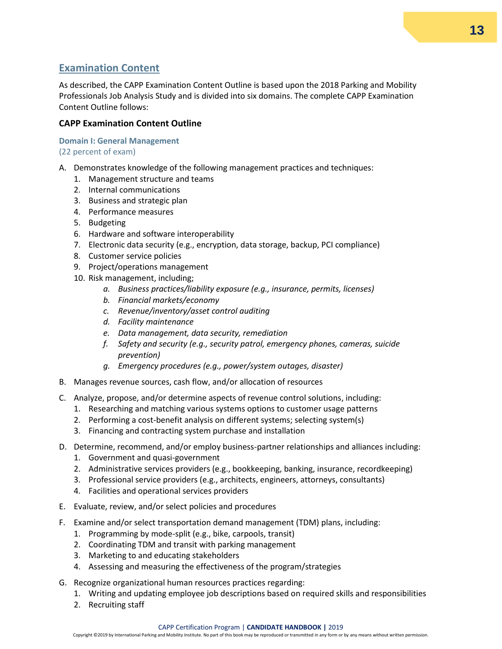### <span id="page-12-0"></span>**Examination Content**

As described, the CAPP Examination Content Outline is based upon the 2018 Parking and Mobility Professionals Job Analysis Study and is divided into six domains. The complete CAPP Examination Content Outline follows:

#### **CAPP Examination Content Outline**

**Domain I: General Management**  (22 percent of exam)

- A. Demonstrates knowledge of the following management practices and techniques:
	- 1. Management structure and teams
	- 2. Internal communications
	- 3. Business and strategic plan
	- 4. Performance measures
	- 5. Budgeting
	- 6. Hardware and software interoperability
	- 7. Electronic data security (e.g., encryption, data storage, backup, PCI compliance)
	- 8. Customer service policies
	- 9. Project/operations management
	- 10. Risk management, including;
		- *a. Business practices/liability exposure (e.g., insurance, permits, licenses)*
		- *b. Financial markets/economy*
		- *c. Revenue/inventory/asset control auditing*
		- *d. Facility maintenance*
		- *e. Data management, data security, remediation*
		- *f. Safety and security (e.g., security patrol, emergency phones, cameras, suicide prevention)*
		- *g. Emergency procedures (e.g., power/system outages, disaster)*
- B. Manages revenue sources, cash flow, and/or allocation of resources
- C. Analyze, propose, and/or determine aspects of revenue control solutions, including:
	- 1. Researching and matching various systems options to customer usage patterns
	- 2. Performing a cost-benefit analysis on different systems; selecting system(s)
	- 3. Financing and contracting system purchase and installation
- D. Determine, recommend, and/or employ business-partner relationships and alliances including:
	- 1. Government and quasi-government
	- 2. Administrative services providers (e.g., bookkeeping, banking, insurance, recordkeeping)
	- 3. Professional service providers (e.g., architects, engineers, attorneys, consultants)
	- 4. Facilities and operational services providers
- E. Evaluate, review, and/or select policies and procedures
- F. Examine and/or select transportation demand management (TDM) plans, including:
	- 1. Programming by mode-split (e.g., bike, carpools, transit)
	- 2. Coordinating TDM and transit with parking management
	- 3. Marketing to and educating stakeholders
	- 4. Assessing and measuring the effectiveness of the program/strategies
- G. Recognize organizational human resources practices regarding:
	- 1. Writing and updating employee job descriptions based on required skills and responsibilities
	- 2. Recruiting staff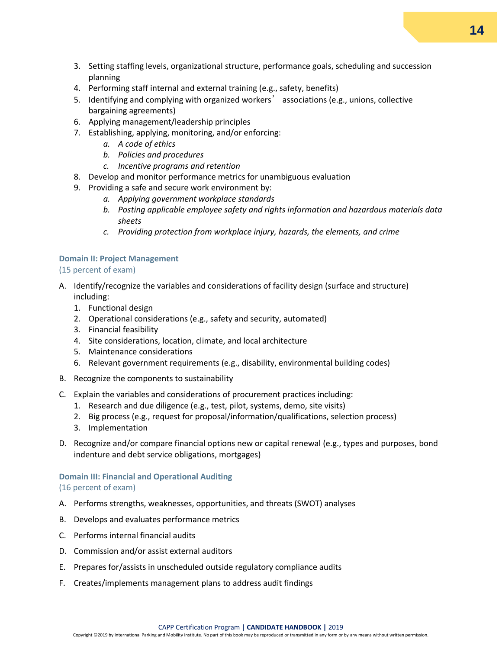- 3. Setting staffing levels, organizational structure, performance goals, scheduling and succession planning
- 4. Performing staff internal and external training (e.g., safety, benefits)
- 5. Identifying and complying with organized workers' associations (e.g., unions, collective bargaining agreements)
- 6. Applying management/leadership principles
- 7. Establishing, applying, monitoring, and/or enforcing:
	- *a. A code of ethics*
	- *b. Policies and procedures*
	- *c. Incentive programs and retention*
- 8. Develop and monitor performance metrics for unambiguous evaluation
- 9. Providing a safe and secure work environment by:
	- *a. Applying government workplace standards*
	- *b. Posting applicable employee safety and rights information and hazardous materials data sheets*
	- *c. Providing protection from workplace injury, hazards, the elements, and crime*

#### **Domain II: Project Management**

#### (15 percent of exam)

- A. Identify/recognize the variables and considerations of facility design (surface and structure) including:
	- 1. Functional design
	- 2. Operational considerations (e.g., safety and security, automated)
	- 3. Financial feasibility
	- 4. Site considerations, location, climate, and local architecture
	- 5. Maintenance considerations
	- 6. Relevant government requirements (e.g., disability, environmental building codes)
- B. Recognize the components to sustainability
- C. Explain the variables and considerations of procurement practices including:
	- 1. Research and due diligence (e.g., test, pilot, systems, demo, site visits)
	- 2. Big process (e.g., request for proposal/information/qualifications, selection process)
	- 3. Implementation
- D. Recognize and/or compare financial options new or capital renewal (e.g., types and purposes, bond indenture and debt service obligations, mortgages)

#### **Domain III: Financial and Operational Auditing**  (16 percent of exam)

- A. Performs strengths, weaknesses, opportunities, and threats (SWOT) analyses
- B. Develops and evaluates performance metrics
- C. Performs internal financial audits
- D. Commission and/or assist external auditors
- E. Prepares for/assists in unscheduled outside regulatory compliance audits
- F. Creates/implements management plans to address audit findings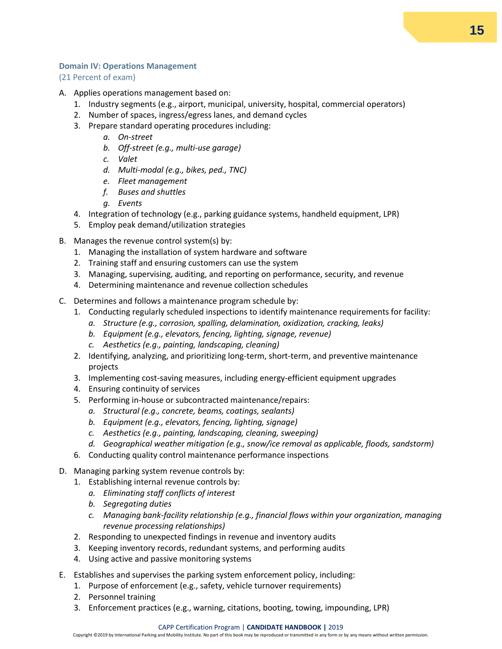#### **Domain IV: Operations Management**

#### (21 Percent of exam)

- A. Applies operations management based on:
	- 1. Industry segments (e.g., airport, municipal, university, hospital, commercial operators)
	- 2. Number of spaces, ingress/egress lanes, and demand cycles
	- 3. Prepare standard operating procedures including:
		- *a. On-street*
		- *b. Off-street (e.g., multi-use garage)*
		- *c. Valet*
		- *d. Multi-modal (e.g., bikes, ped., TNC)*
		- *e. Fleet management*
		- *f. Buses and shuttles*
		- *g. Events*
	- 4. Integration of technology (e.g., parking guidance systems, handheld equipment, LPR)
	- 5. Employ peak demand/utilization strategies
- B. Manages the revenue control system(s) by:
	- 1. Managing the installation of system hardware and software
	- 2. Training staff and ensuring customers can use the system
	- 3. Managing, supervising, auditing, and reporting on performance, security, and revenue
	- 4. Determining maintenance and revenue collection schedules
- C. Determines and follows a maintenance program schedule by:
	- 1. Conducting regularly scheduled inspections to identify maintenance requirements for facility:
		- *a. Structure (e.g., corrosion, spalling, delamination, oxidization, cracking, leaks)*
		- *b. Equipment (e.g., elevators, fencing, lighting, signage, revenue)*
		- *c. Aesthetics (e.g., painting, landscaping, cleaning)*
	- 2. Identifying, analyzing, and prioritizing long-term, short-term, and preventive maintenance projects
	- 3. Implementing cost-saving measures, including energy-efficient equipment upgrades
	- 4. Ensuring continuity of services
	- 5. Performing in-house or subcontracted maintenance/repairs:
		- *a. Structural (e.g., concrete, beams, coatings, sealants)*
		- *b. Equipment (e.g., elevators, fencing, lighting, signage)*
		- *c. Aesthetics (e.g., painting, landscaping, cleaning, sweeping)*
		- *d. Geographical weather mitigation (e.g., snow/ice removal as applicable, floods, sandstorm)*
	- 6. Conducting quality control maintenance performance inspections
- D. Managing parking system revenue controls by:
	- 1. Establishing internal revenue controls by:
		- *a. Eliminating staff conflicts of interest*
		- *b. Segregating duties*
		- *c. Managing bank-facility relationship (e.g., financial flows within your organization, managing revenue processing relationships)*
	- 2. Responding to unexpected findings in revenue and inventory audits
	- 3. Keeping inventory records, redundant systems, and performing audits
	- 4. Using active and passive monitoring systems
- E. Establishes and supervises the parking system enforcement policy, including:
	- 1. Purpose of enforcement (e.g., safety, vehicle turnover requirements)
	- 2. Personnel training
	- 3. Enforcement practices (e.g., warning, citations, booting, towing, impounding, LPR)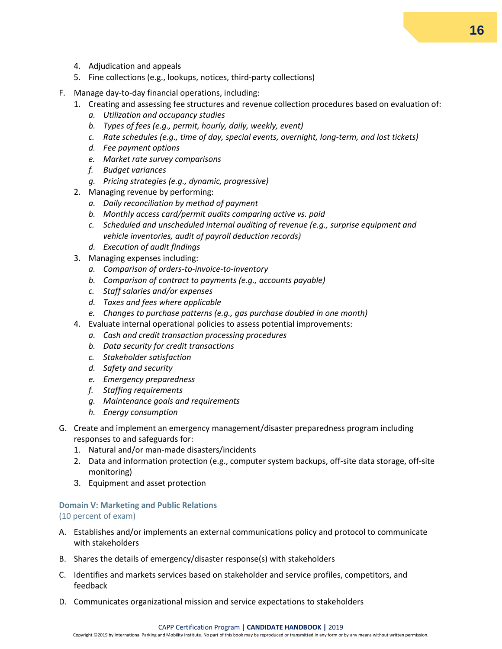- 4. Adjudication and appeals
- 5. Fine collections (e.g., lookups, notices, third-party collections)
- F. Manage day-to-day financial operations, including:
	- 1. Creating and assessing fee structures and revenue collection procedures based on evaluation of:
		- *a. Utilization and occupancy studies*
		- *b. Types of fees (e.g., permit, hourly, daily, weekly, event)*
		- *c. Rate schedules (e.g., time of day, special events, overnight, long-term, and lost tickets)*
		- *d. Fee payment options*
		- *e. Market rate survey comparisons*
		- *f. Budget variances*
		- *g. Pricing strategies (e.g., dynamic, progressive)*
	- 2. Managing revenue by performing:
		- *a. Daily reconciliation by method of payment*
		- *b. Monthly access card/permit audits comparing active vs. paid*
		- *c. Scheduled and unscheduled internal auditing of revenue (e.g., surprise equipment and vehicle inventories, audit of payroll deduction records)*
		- *d. Execution of audit findings*
	- 3. Managing expenses including:
		- *a. Comparison of orders-to-invoice-to-inventory*
		- *b. Comparison of contract to payments (e.g., accounts payable)*
		- *c. Staff salaries and/or expenses*
		- *d. Taxes and fees where applicable*
		- *e. Changes to purchase patterns (e.g., gas purchase doubled in one month)*
	- 4. Evaluate internal operational policies to assess potential improvements:
		- *a. Cash and credit transaction processing procedures*
		- *b. Data security for credit transactions*
		- *c. Stakeholder satisfaction*
		- *d. Safety and security*
		- *e. Emergency preparedness*
		- *f. Staffing requirements*
		- *g. Maintenance goals and requirements*
		- *h. Energy consumption*
- G. Create and implement an emergency management/disaster preparedness program including responses to and safeguards for:
	- 1. Natural and/or man-made disasters/incidents
	- 2. Data and information protection (e.g., computer system backups, off-site data storage, off-site monitoring)
	- 3. Equipment and asset protection

#### **Domain V: Marketing and Public Relations**  (10 percent of exam)

- A. Establishes and/or implements an external communications policy and protocol to communicate with stakeholders
- B. Shares the details of emergency/disaster response(s) with stakeholders
- C. Identifies and markets services based on stakeholder and service profiles, competitors, and feedback
- D. Communicates organizational mission and service expectations to stakeholders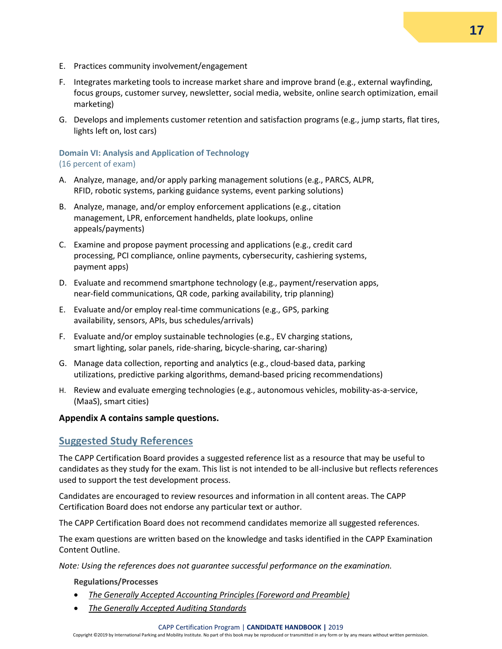- E. Practices community involvement/engagement
- F. Integrates marketing tools to increase market share and improve brand (e.g., external wayfinding, focus groups, customer survey, newsletter, social media, website, online search optimization, email marketing)
- G. Develops and implements customer retention and satisfaction programs (e.g., jump starts, flat tires, lights left on, lost cars)

#### **Domain VI: Analysis and Application of Technology**  (16 percent of exam)

- A. Analyze, manage, and/or apply parking management solutions (e.g., PARCS, ALPR, RFID, robotic systems, parking guidance systems, event parking solutions)
- B. Analyze, manage, and/or employ enforcement applications (e.g., citation management, LPR, enforcement handhelds, plate lookups, online appeals/payments)
- C. Examine and propose payment processing and applications (e.g., credit card processing, PCI compliance, online payments, cybersecurity, cashiering systems, payment apps)
- D. Evaluate and recommend smartphone technology (e.g., payment/reservation apps, near-field communications, QR code, parking availability, trip planning)
- E. Evaluate and/or employ real-time communications (e.g., GPS, parking availability, sensors, APIs, bus schedules/arrivals)
- F. Evaluate and/or employ sustainable technologies (e.g., EV charging stations, smart lighting, solar panels, ride-sharing, bicycle-sharing, car-sharing)
- G. Manage data collection, reporting and analytics (e.g., cloud-based data, parking utilizations, predictive parking algorithms, demand-based pricing recommendations)
- H. Review and evaluate emerging technologies (e.g., autonomous vehicles, mobility-as-a-service, (MaaS), smart cities)

#### **Appendix A contains sample questions.**

#### <span id="page-16-0"></span>**Suggested Study References**

The CAPP Certification Board provides a suggested reference list as a resource that may be useful to candidates as they study for the exam. This list is not intended to be all-inclusive but reflects references used to support the test development process.

Candidates are encouraged to review resources and information in all content areas. The CAPP Certification Board does not endorse any particular text or author.

The CAPP Certification Board does not recommend candidates memorize all suggested references.

The exam questions are written based on the knowledge and tasks identified in the CAPP Examination Content Outline.

*Note: Using the references does not guarantee successful performance on the examination.* 

**Regulations/Processes**

- *[The Generally Accepted Accounting Principles \(Foreword and Preamble\)](http://www.fasab.gov/pdffiles/2013_fasab_handbook.pdf)*
- *[The Generally Accepted Auditing Standards](http://www.aicpa.org/Research/Standards/AuditAttest/DownloadableDocuments/AU-00150.pdf)*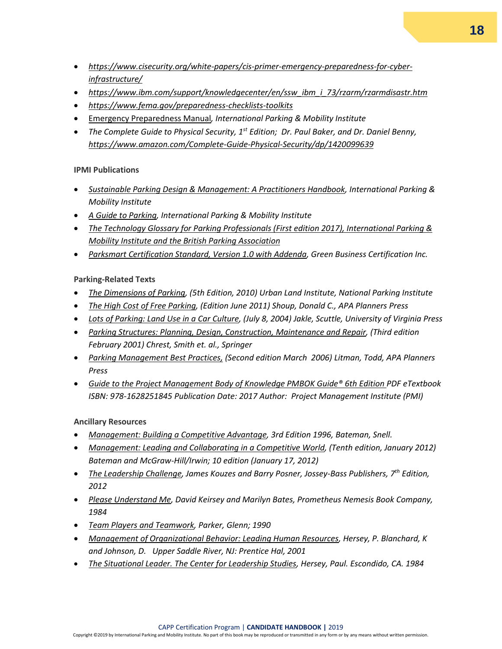- *[https://www.cisecurity.org/white-papers/cis-primer-emergency-preparedness-for-cyber](https://www.cisecurity.org/white-papers/cis-primer-emergency-preparedness-for-cyber-infrastructure/)[infrastructure/](https://www.cisecurity.org/white-papers/cis-primer-emergency-preparedness-for-cyber-infrastructure/)*
- *[https://www.ibm.com/support/knowledgecenter/en/ssw\\_ibm\\_i\\_73/rzarm/rzarmdisastr.htm](https://www.ibm.com/support/knowledgecenter/en/ssw_ibm_i_73/rzarm/rzarmdisastr.htm)*
- *<https://www.fema.gov/preparedness-checklists-toolkits>*
- [Emergency Preparedness Manual](https://www.parking-mobility.org/2016/10/06/emergency-preparedness-manual/)*, International Parking & Mobility Institute*
- *The Complete Guide to Physical Security, 1st Edition; Dr. Paul Baker, and Dr. Daniel Benny, <https://www.amazon.com/Complete-Guide-Physical-Security/dp/1420099639>*

#### **IPMI Publications**

- *[Sustainable Parking Design & Management: A Practitioners Handbook,](https://www.amazon.com/dp/B00K57Y3H4/ref=nosim?tag=i01ef-20&linkCode=sb1&camp=212353&creative=380549) International Parking & Mobility Institute*
- *[A Guide to Parking,](https://www.amazon.com/Guide-Parking-International-Institute/dp/1138595934/ref=mt_hardcover?_encoding=UTF8&me=) International Parking & Mobility Institute*
- *[The Technology Glossary for Parking Professionals \(First edition 2017\), International Parking &](https://www.parking.org/wp-content/uploads/2017/09/BPA-IPI-Technology-Glossary-Final.pdf)  [Mobility Institute and the British Parking Association](https://www.parking.org/wp-content/uploads/2017/09/BPA-IPI-Technology-Glossary-Final.pdf)*
- *[Parksmart Certification Standard, Version 1.0 with Addenda,](https://www.usgbc.org/resources/parksmart-certification-standard) Green Business Certification Inc.*

#### **Parking-Related Texts**

- *[The Dimensions of Parking,](http://www.amazon.com/Dimensions-Parking-Urban-Land-Institute/dp/0874201209/ref=sr_1_1?s=books&ie=UTF8&qid=1395781342&sr=1-1&keywords=the+dimensions+of+parking+urban+land+institute) (5th Edition, 2010) Urban Land Institute, National Parking Institute*
- *[The High Cost of Free Parking,](https://www.amazon.com/High-Cost-Free-Parking-Updated/dp/193236496X/ref=sr_1_1?s=books&ie=UTF8&qid=1395781464&sr=1-1&keywords=the+high+cost+of+free+parking) (Edition June 2011) Shoup, Donald C., APA Planners Press*
- *[Lots of Parking: Land Use in a Car Culture, \(July 8, 2004\) Jakle, Scuttle, University of Virginia Press](http://www.amazon.com/Lots-Parking-Culture-Center-Books/dp/0813922666/ref=sr_1_1?s=books&ie=UTF8&qid=1395781588&sr=1-1&keywords=lots+of+parking)*
- *[Parking Structures: Planning, Design, Construction, Maintenance and Repair,](https://www.amazon.com/Parking-Structures-Planning-Construction-Maintenance/dp/0792372131/ref=sr_1_2?s=books&ie=UTF8&qid=1395781677&sr=1-2&keywords=Parking+Structures) (Third edition February 2001) Chrest, Smith et. al., Springer*
- *[Parking Management Best Practices,](http://www.amazon.com/Parking-Management-Best-Practices-Litman/dp/1932364056/ref=sr_1_1?s=books&ie=UTF8&qid=1395781819&sr=1-1&keywords=Parking+Management+Best) (Second edition March 2006) Litman, Todd, APA Planners [Press](http://www.amazon.com/Parking-Management-Best-Practices-Litman/dp/1932364056/ref=sr_1_1?s=books&ie=UTF8&qid=1395781819&sr=1-1&keywords=Parking+Management+Best)*
- *[Guide to the Project Management Body of Knowledge PMBOK](https://ebooksforclass.com/product/guide-to-the-project-management-body-of-knowledge-pmbok-6th-edition-pdf-etextbook/?gclid=Cj0KCQiA1NbhBRCBARIsAKOTmUsDm-z4VQ1PXA-7dkhIc0ZFNPqJrCtXYo4NrJh23ZVBT0uephnKB7AaAgKHEALw_wcB) Guide® 6th Edition PDF eTextbook ISBN: 978-1628251845 Publication Date: 2017 Author: Project Management Institute (PMI)*

**Ancillary Resources**

- *[Management: Building a Competitive Advantage,](https://www.amazon.com/gp/offer-listing/0256140537/ref=dp_olp_0?ie=UTF8&condition=all) 3rd Edition 1996, Bateman, Snell.*
- *[Management: Leading and Collaborating in a Competitive World, \(Tenth edition, January 2012\)](http://www.amazon.com/Management-Leading-Collaborating-Competitive-World/dp/0078029333/ref=sr_1_1?s=books&ie=UTF8&qid=1395782077&sr=1-1&keywords=management+leading+and+collaborating+in+a+competitive+world)  [Bateman and McGraw-Hill/Irwin; 10 edition \(January 17, 2012\)](http://www.amazon.com/Management-Leading-Collaborating-Competitive-World/dp/0078029333/ref=sr_1_1?s=books&ie=UTF8&qid=1395782077&sr=1-1&keywords=management+leading+and+collaborating+in+a+competitive+world)*
- *[The Leadership Challenge, James Kouzes and Barry Posner, Jossey-Bass Publishers, 7](https://www.amazon.com/Leadership-Challenge-Extraordinary-Things-Organizations/dp/1119278961/ref=sr_1_1?ie=UTF8&qid=1547139420&sr=8-1&keywords=the+leadership+challenge+6th+edition)th Edition, [2012](https://www.amazon.com/Leadership-Challenge-Extraordinary-Things-Organizations/dp/1119278961/ref=sr_1_1?ie=UTF8&qid=1547139420&sr=8-1&keywords=the+leadership+challenge+6th+edition)*
- *[Please Understand Me, David Keirsey and Marilyn Bates, Prometheus Nemesis Book Company,](https://www.amazon.com/Please-Understand-Me-Character-Temperament/dp/0960695400/ref=asc_df_0960695400/?tag=hyprod-20&linkCode=df0&hvadid=312150641898&hvpos=1o1&hvnetw=g&hvrand=9998529281791970814&hvpone=&hvptwo=&hvqmt=&hvdev=c&hvdvcmdl=&hvlocint=&hvlocphy=9053112&hvtargid=pla-625526303952&psc=1&tag=&ref=&adgrpid=62860525180&hvpone=&hvptwo=&hvadid=312150641898&hvpos=1o1&hvnetw=g&hvrand=9998529281791970814&hvqmt=&hvdev=c&hvdvcmdl=&hvlocint=&hvlocphy=9053112&hvtargid=pla-625526303952)  [1984](https://www.amazon.com/Please-Understand-Me-Character-Temperament/dp/0960695400/ref=asc_df_0960695400/?tag=hyprod-20&linkCode=df0&hvadid=312150641898&hvpos=1o1&hvnetw=g&hvrand=9998529281791970814&hvpone=&hvptwo=&hvqmt=&hvdev=c&hvdvcmdl=&hvlocint=&hvlocphy=9053112&hvtargid=pla-625526303952&psc=1&tag=&ref=&adgrpid=62860525180&hvpone=&hvptwo=&hvadid=312150641898&hvpos=1o1&hvnetw=g&hvrand=9998529281791970814&hvqmt=&hvdev=c&hvdvcmdl=&hvlocint=&hvlocphy=9053112&hvtargid=pla-625526303952)*
- *Team Players and Teamwork, [Parker, Glenn; 1990](https://www.amazon.com/Team-Players-Teamwork-Competitive-Business/dp/0787901857)*
- *Management of Organizational Behavior: Leading Human Resources[, Hersey, P. Blanchard, K](https://www.amazon.com/Management-Organizational-Behavior-10th-Hersey/dp/0132556405)  [and Johnson, D. Upper Saddle River, NJ: Prentice Hal, 2001](https://www.amazon.com/Management-Organizational-Behavior-10th-Hersey/dp/0132556405)*
- *The Situational Leader. The Center for Leadership Studies, [Hersey, Paul. Escondido, CA. 1984](https://www.amazon.com/Situational-Leader-Dr-Paul-Hersey/dp/0446513423/ref=sr_1_1?ie=UTF8&qid=1547139683&sr=8-1&keywords=situational+leader)*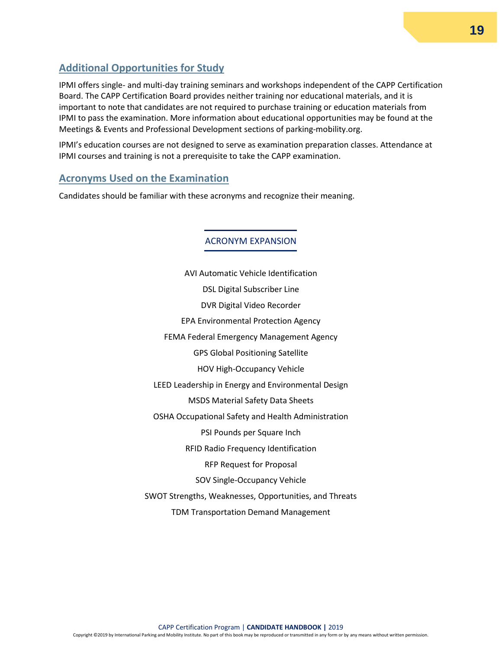### <span id="page-18-0"></span>**Additional Opportunities for Study**

IPMI offers single- and multi-day training seminars and workshops independent of the CAPP Certification Board. The CAPP Certification Board provides neither training nor educational materials, and it is important to note that candidates are not required to purchase training or education materials from IPMI to pass the examination. More information about educational opportunities may be found at the Meetings & Events and Professional Development sections of parking-mobility.org.

IPMI's education courses are not designed to serve as examination preparation classes. Attendance at IPMI courses and training is not a prerequisite to take the CAPP examination.

#### <span id="page-18-1"></span>**Acronyms Used on the Examination**

Candidates should be familiar with these acronyms and recognize their meaning.

ACRONYM EXPANSION

AVI Automatic Vehicle Identification DSL Digital Subscriber Line DVR Digital Video Recorder EPA Environmental Protection Agency FEMA Federal Emergency Management Agency GPS Global Positioning Satellite HOV High-Occupancy Vehicle LEED Leadership in Energy and Environmental Design MSDS Material Safety Data Sheets OSHA Occupational Safety and Health Administration PSI Pounds per Square Inch RFID Radio Frequency Identification RFP Request for Proposal SOV Single-Occupancy Vehicle SWOT Strengths, Weaknesses, Opportunities, and Threats TDM Transportation Demand Management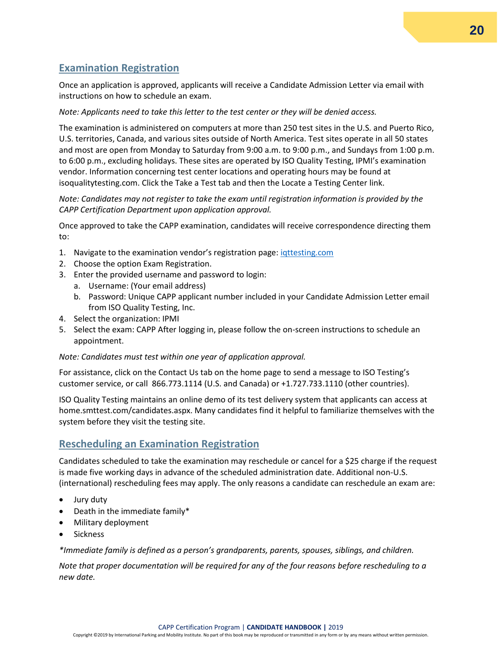### <span id="page-19-2"></span><span id="page-19-0"></span>**Examination Registration**

Once an application is approved, applicants will receive a Candidate Admission Letter via email with instructions on how to schedule an exam.

#### *Note: Applicants need to take this letter to the test center or they will be denied access.*

The examination is administered on computers at more than 250 test sites in the U.S. and Puerto Rico, U.S. territories, Canada, and various sites outside of North America. Test sites operate in all 50 states and most are open from Monday to Saturday from 9:00 a.m. to 9:00 p.m., and Sundays from 1:00 p.m. to 6:00 p.m., excluding holidays. These sites are operated by ISO Quality Testing, IPMI's examination vendor. Information concerning test center locations and operating hours may be found at isoqualitytesting.com. Click the Take a Test tab and then the Locate a Testing Center link.

#### *Note: Candidates may not register to take the exam until registration information is provided by the CAPP Certification Department upon application approval.*

Once approved to take the CAPP examination, candidates will receive correspondence directing them to:

- 1. Navigate to the examination vendor's registration page: intesting.com
- 2. Choose the option Exam Registration.
- 3. Enter the provided username and password to login:
	- a. Username: (Your email address)
	- b. Password: Unique CAPP applicant number included in your Candidate Admission Letter email from ISO Quality Testing, Inc.
- 4. Select the organization: IPMI
- 5. Select the exam: CAPP After logging in, please follow the on-screen instructions to schedule an appointment.

#### *Note: Candidates must test within one year of application approval.*

For assistance, click on the Contact Us tab on the home page to send a message to ISO Testing's customer service, or call 866.773.1114 (U.S. and Canada) or +1.727.733.1110 (other countries).

ISO Quality Testing maintains an online demo of its test delivery system that applicants can access at home.smttest.com/candidates.aspx. Many candidates find it helpful to familiarize themselves with the system before they visit the testing site.

#### <span id="page-19-1"></span>**Rescheduling an Examination Registration**

Candidates scheduled to take the examination may reschedule or cancel for a \$25 charge if the request is made five working days in advance of the scheduled administration date. Additional non-U.S. (international) rescheduling fees may apply. The only reasons a candidate can reschedule an exam are:

- Jury duty
- Death in the immediate family\*
- Military deployment
- **Sickness**

*\*Immediate family is defined as a person's grandparents, parents, spouses, siblings, and children.* 

*Note that proper documentation will be required for any of the four reasons before rescheduling to a new date.*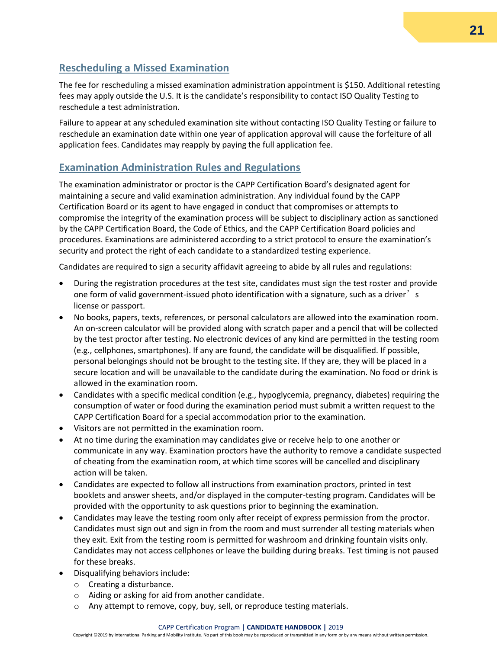### **Rescheduling a Missed Examination**

The fee for rescheduling a missed examination administration appointment is \$150. Additional retesting fees may apply outside the U.S. It is the candidate's responsibility to contact ISO Quality Testing to reschedule a test administration.

Failure to appear at any scheduled examination site without contacting ISO Quality Testing or failure to reschedule an examination date within one year of application approval will cause the forfeiture of all application fees. Candidates may reapply by paying the full application fee.

#### <span id="page-20-0"></span>**Examination Administration Rules and Regulations**

The examination administrator or proctor is the CAPP Certification Board's designated agent for maintaining a secure and valid examination administration. Any individual found by the CAPP Certification Board or its agent to have engaged in conduct that compromises or attempts to compromise the integrity of the examination process will be subject to disciplinary action as sanctioned by the CAPP Certification Board, the Code of Ethics, and the CAPP Certification Board policies and procedures. Examinations are administered according to a strict protocol to ensure the examination's security and protect the right of each candidate to a standardized testing experience.

Candidates are required to sign a security affidavit agreeing to abide by all rules and regulations:

- During the registration procedures at the test site, candidates must sign the test roster and provide one form of valid government-issued photo identification with a signature, such as a driver<sup>3</sup> s license or passport.
- No books, papers, texts, references, or personal calculators are allowed into the examination room. An on-screen calculator will be provided along with scratch paper and a pencil that will be collected by the test proctor after testing. No electronic devices of any kind are permitted in the testing room (e.g., cellphones, smartphones). If any are found, the candidate will be disqualified. If possible, personal belongings should not be brought to the testing site. If they are, they will be placed in a secure location and will be unavailable to the candidate during the examination. No food or drink is allowed in the examination room.
- Candidates with a specific medical condition (e.g., hypoglycemia, pregnancy, diabetes) requiring the consumption of water or food during the examination period must submit a written request to the CAPP Certification Board for a special accommodation prior to the examination.
- Visitors are not permitted in the examination room.
- At no time during the examination may candidates give or receive help to one another or communicate in any way. Examination proctors have the authority to remove a candidate suspected of cheating from the examination room, at which time scores will be cancelled and disciplinary action will be taken.
- Candidates are expected to follow all instructions from examination proctors, printed in test booklets and answer sheets, and/or displayed in the computer-testing program. Candidates will be provided with the opportunity to ask questions prior to beginning the examination.
- Candidates may leave the testing room only after receipt of express permission from the proctor. Candidates must sign out and sign in from the room and must surrender all testing materials when they exit. Exit from the testing room is permitted for washroom and drinking fountain visits only. Candidates may not access cellphones or leave the building during breaks. Test timing is not paused for these breaks.
- Disqualifying behaviors include:
	- o Creating a disturbance.
	- o Aiding or asking for aid from another candidate.
	- o Any attempt to remove, copy, buy, sell, or reproduce testing materials.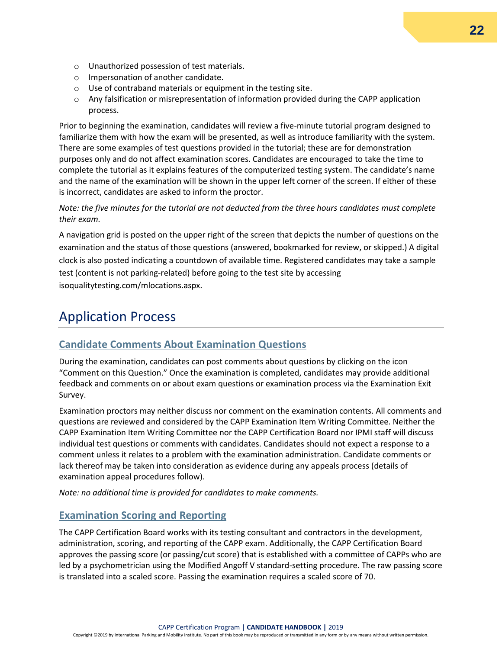- o Unauthorized possession of test materials.
- o Impersonation of another candidate.
- o Use of contraband materials or equipment in the testing site.
- o Any falsification or misrepresentation of information provided during the CAPP application process.

Prior to beginning the examination, candidates will review a five-minute tutorial program designed to familiarize them with how the exam will be presented, as well as introduce familiarity with the system. There are some examples of test questions provided in the tutorial; these are for demonstration purposes only and do not affect examination scores. Candidates are encouraged to take the time to complete the tutorial as it explains features of the computerized testing system. The candidate's name and the name of the examination will be shown in the upper left corner of the screen. If either of these is incorrect, candidates are asked to inform the proctor.

*Note: the five minutes for the tutorial are not deducted from the three hours candidates must complete their exam.* 

A navigation grid is posted on the upper right of the screen that depicts the number of questions on the examination and the status of those questions (answered, bookmarked for review, or skipped.) A digital clock is also posted indicating a countdown of available time. Registered candidates may take a sample test (content is not parking-related) before going to the test site by accessing isoqualitytesting.com/mlocations.aspx.

# <span id="page-21-0"></span>Application Process

#### <span id="page-21-1"></span>**Candidate Comments About Examination Questions**

During the examination, candidates can post comments about questions by clicking on the icon "Comment on this Question." Once the examination is completed, candidates may provide additional feedback and comments on or about exam questions or examination process via the Examination Exit Survey.

Examination proctors may neither discuss nor comment on the examination contents. All comments and questions are reviewed and considered by the CAPP Examination Item Writing Committee. Neither the CAPP Examination Item Writing Committee nor the CAPP Certification Board nor IPMI staff will discuss individual test questions or comments with candidates. Candidates should not expect a response to a comment unless it relates to a problem with the examination administration. Candidate comments or lack thereof may be taken into consideration as evidence during any appeals process (details of examination appeal procedures follow).

*Note: no additional time is provided for candidates to make comments.* 

#### <span id="page-21-2"></span>**Examination Scoring and Reporting**

The CAPP Certification Board works with its testing consultant and contractors in the development, administration, scoring, and reporting of the CAPP exam. Additionally, the CAPP Certification Board approves the passing score (or passing/cut score) that is established with a committee of CAPPs who are led by a psychometrician using the Modified Angoff V standard-setting procedure. The raw passing score is translated into a scaled score. Passing the examination requires a scaled score of 70.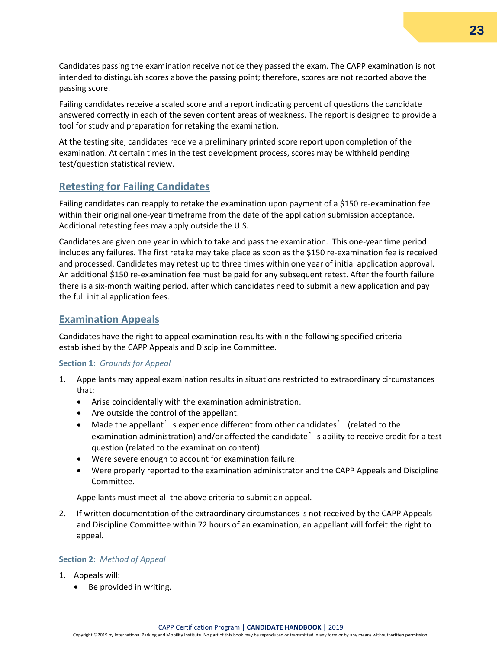Candidates passing the examination receive notice they passed the exam. The CAPP examination is not intended to distinguish scores above the passing point; therefore, scores are not reported above the passing score.

Failing candidates receive a scaled score and a report indicating percent of questions the candidate answered correctly in each of the seven content areas of weakness. The report is designed to provide a tool for study and preparation for retaking the examination.

At the testing site, candidates receive a preliminary printed score report upon completion of the examination. At certain times in the test development process, scores may be withheld pending test/question statistical review.

#### <span id="page-22-0"></span>**Retesting for Failing Candidates**

Failing candidates can reapply to retake the examination upon payment of a \$150 re-examination fee within their original one-year timeframe from the date of the application submission acceptance. Additional retesting fees may apply outside the U.S.

Candidates are given one year in which to take and pass the examination. This one-year time period includes any failures. The first retake may take place as soon as the \$150 re-examination fee is received and processed. Candidates may retest up to three times within one year of initial application approval. An additional \$150 re-examination fee must be paid for any subsequent retest. After the fourth failure there is a six-month waiting period, after which candidates need to submit a new application and pay the full initial application fees.

#### <span id="page-22-1"></span>**Examination Appeals**

Candidates have the right to appeal examination results within the following specified criteria established by the CAPP Appeals and Discipline Committee.

#### **Section 1:** *Grounds for Appeal*

- 1. Appellants may appeal examination results in situations restricted to extraordinary circumstances that:
	- Arise coincidentally with the examination administration.
	- Are outside the control of the appellant.
	- Made the appellant's experience different from other candidates' (related to the examination administration) and/or affected the candidate' s ability to receive credit for a test question (related to the examination content).
	- Were severe enough to account for examination failure.
	- Were properly reported to the examination administrator and the CAPP Appeals and Discipline Committee.

Appellants must meet all the above criteria to submit an appeal.

2. If written documentation of the extraordinary circumstances is not received by the CAPP Appeals and Discipline Committee within 72 hours of an examination, an appellant will forfeit the right to appeal.

#### **Section 2:** *Method of Appeal*

- 1. Appeals will:
	- Be provided in writing.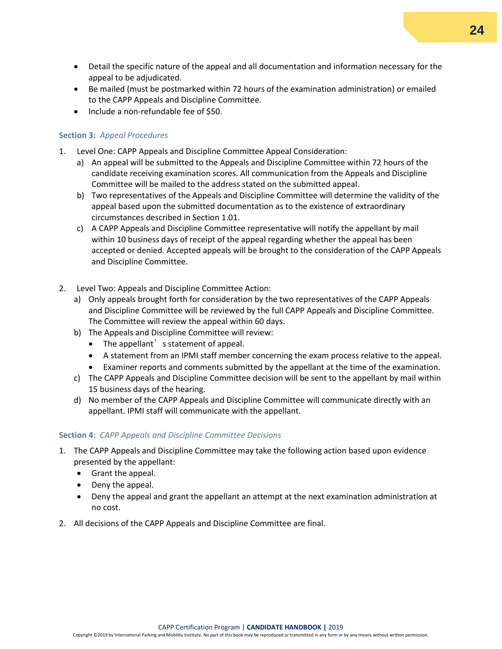- Detail the specific nature of the appeal and all documentation and information necessary for the appeal to be adjudicated.
- Be mailed (must be postmarked within 72 hours of the examination administration) or emailed to the CAPP Appeals and Discipline Committee.
- Include a non-refundable fee of \$50.

#### **Section 3:** *Appeal Procedures*

- 1. Level One: CAPP Appeals and Discipline Committee Appeal Consideration:
	- a) An appeal will be submitted to the Appeals and Discipline Committee within 72 hours of the candidate receiving examination scores. All communication from the Appeals and Discipline Committee will be mailed to the address stated on the submitted appeal.
	- b) Two representatives of the Appeals and Discipline Committee will determine the validity of the appeal based upon the submitted documentation as to the existence of extraordinary circumstances described in Section 1.01.
	- c) A CAPP Appeals and Discipline Committee representative will notify the appellant by mail within 10 business days of receipt of the appeal regarding whether the appeal has been accepted or denied. Accepted appeals will be brought to the consideration of the CAPP Appeals and Discipline Committee.
- 2. Level Two: Appeals and Discipline Committee Action:
	- a) Only appeals brought forth for consideration by the two representatives of the CAPP Appeals and Discipline Committee will be reviewed by the full CAPP Appeals and Discipline Committee. The Committee will review the appeal within 60 days.
	- b) The Appeals and Discipline Committee will review:
		- The appellant s statement of appeal.
		- A statement from an IPMI staff member concerning the exam process relative to the appeal.
		- Examiner reports and comments submitted by the appellant at the time of the examination.
	- c) The CAPP Appeals and Discipline Committee decision will be sent to the appellant by mail within 15 business days of the hearing.
	- d) No member of the CAPP Appeals and Discipline Committee will communicate directly with an appellant. IPMI staff will communicate with the appellant.

#### **Section 4:** *CAPP Appeals and Discipline Committee Decisions*

- 1. The CAPP Appeals and Discipline Committee may take the following action based upon evidence presented by the appellant:
	- Grant the appeal.
	- Deny the appeal.
	- Deny the appeal and grant the appellant an attempt at the next examination administration at no cost.
- 2. All decisions of the CAPP Appeals and Discipline Committee are final.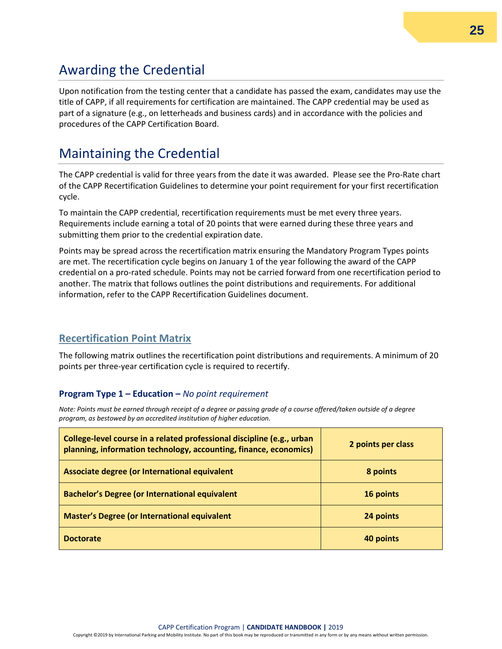# <span id="page-24-0"></span>Awarding the Credential

Upon notification from the testing center that a candidate has passed the exam, candidates may use the title of CAPP, if all requirements for certification are maintained. The CAPP credential may be used as part of a signature (e.g., on letterheads and business cards) and in accordance with the policies and procedures of the CAPP Certification Board.

# <span id="page-24-1"></span>Maintaining the Credential

The CAPP credential is valid for three years from the date it was awarded. Please see the Pro-Rate chart of the CAPP Recertification Guidelines to determine your point requirement for your first recertification cycle.

To maintain the CAPP credential, recertification requirements must be met every three years. Requirements include earning a total of 20 points that were earned during these three years and submitting them prior to the credential expiration date.

Points may be spread across the recertification matrix ensuring the Mandatory Program Types points are met. The recertification cycle begins on January 1 of the year following the award of the CAPP credential on a pro-rated schedule. Points may not be carried forward from one recertification period to another. The matrix that follows outlines the point distributions and requirements. For additional information, refer to the CAPP Recertification Guidelines document.

#### <span id="page-24-2"></span>**Recertification Point Matrix**

The following matrix outlines the recertification point distributions and requirements. A minimum of 20 points per three-year certification cycle is required to recertify.

#### **Program Type 1 – Education –** *No point requirement*

*Note: Points must be earned through receipt of a degree or passing grade of a course offered/taken outside of a degree program, as bestowed by an accredited institution of higher education.* 

| College-level course in a related professional discipline (e.g., urban<br>planning, information technology, accounting, finance, economics) | 2 points per class |
|---------------------------------------------------------------------------------------------------------------------------------------------|--------------------|
| Associate degree (or International equivalent                                                                                               | 8 points           |
| <b>Bachelor's Degree (or International equivalent</b>                                                                                       | 16 points          |
| <b>Master's Degree (or International equivalent</b>                                                                                         | 24 points          |
| <b>Doctorate</b>                                                                                                                            | 40 points          |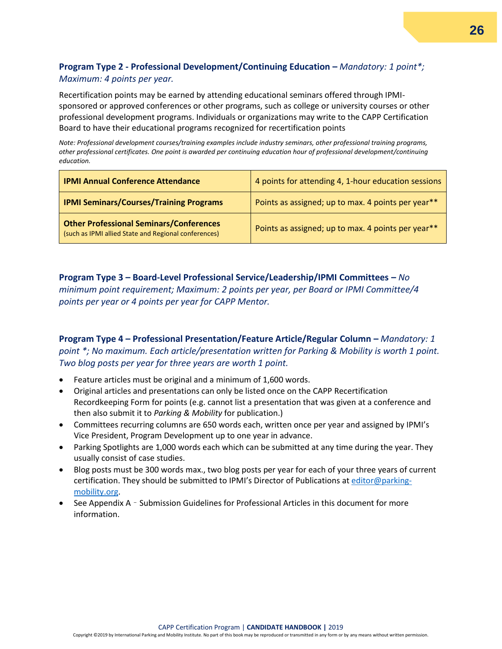#### **Program Type 2 - Professional Development/Continuing Education –** *Mandatory: 1 point\*; Maximum: 4 points per year.*

Recertification points may be earned by attending educational seminars offered through IPMIsponsored or approved conferences or other programs, such as college or university courses or other professional development programs. Individuals or organizations may write to the CAPP Certification Board to have their educational programs recognized for recertification points

*Note: Professional development courses/training examples include industry seminars, other professional training programs, other professional certificates. One point is awarded per continuing education hour of professional development/continuing education.* 

| <b>IPMI Annual Conference Attendance</b>                                                               | 4 points for attending 4, 1-hour education sessions |
|--------------------------------------------------------------------------------------------------------|-----------------------------------------------------|
| <b>IPMI Seminars/Courses/Training Programs</b>                                                         | Points as assigned; up to max. 4 points per year**  |
| <b>Other Professional Seminars/Conferences</b><br>(such as IPMI allied State and Regional conferences) | Points as assigned; up to max. 4 points per year**  |

**Program Type 3 – Board-Level Professional Service/Leadership/IPMI Committees –** *No minimum point requirement; Maximum: 2 points per year, per Board or IPMI Committee/4 points per year or 4 points per year for CAPP Mentor.*

#### **Program Type 4 – Professional Presentation/Feature Article/Regular Column –** *Mandatory: 1 point \*; No maximum. Each article/presentation written for Parking & Mobility is worth 1 point. Two blog posts per year for three years are worth 1 point.*

- Feature articles must be original and a minimum of 1,600 words.
- Original articles and presentations can only be listed once on the CAPP Recertification Recordkeeping Form for points (e.g. cannot list a presentation that was given at a conference and then also submit it to *Parking & Mobility* for publication.)
- Committees recurring columns are 650 words each, written once per year and assigned by IPMI's Vice President, Program Development up to one year in advance.
- Parking Spotlights are 1,000 words each which can be submitted at any time during the year. They usually consist of case studies.
- Blog posts must be 300 words max., two blog posts per year for each of your three years of current certification. They should be submitted to IPMI's Director of Publications a[t editor@parking](mailto:editor@parking-mobility.org)[mobility.org.](mailto:editor@parking-mobility.org)
- See Appendix A Submission Guidelines for Professional Articles in this document for more information.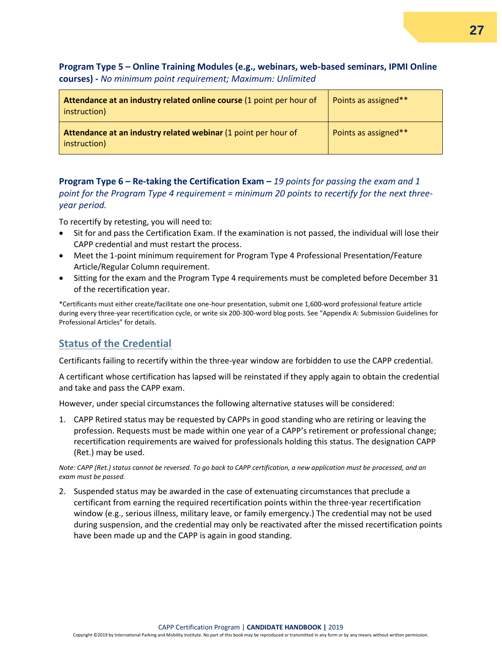#### **Program Type 5 – Online Training Modules (e.g., webinars, web-based seminars, IPMI Online courses) -** *No minimum point requirement; Maximum: Unlimited*

| Attendance at an industry related online course (1 point per hour of<br>instruction) | Points as assigned** |
|--------------------------------------------------------------------------------------|----------------------|
| Attendance at an industry related webinar (1 point per hour of<br>instruction)       | Points as assigned** |

**Program Type 6 – Re-taking the Certification Exam –** *19 points for passing the exam and 1 point for the Program Type 4 requirement = minimum 20 points to recertify for the next threeyear period.* 

To recertify by retesting, you will need to:

- Sit for and pass the Certification Exam. If the examination is not passed, the individual will lose their CAPP credential and must restart the process.
- Meet the 1-point minimum requirement for Program Type 4 Professional Presentation/Feature Article/Regular Column requirement.
- Sitting for the exam and the Program Type 4 requirements must be completed before December 31 of the recertification year.

\*Certificants must either create/facilitate one one-hour presentation, submit one 1,600-word professional feature article during every three-year recertification cycle, or write six 200-300-word blog posts. See "Appendix A: Submission Guidelines for Professional Articles" for details.

#### <span id="page-26-0"></span>**Status of the Credential**

Certificants failing to recertify within the three-year window are forbidden to use the CAPP credential.

A certificant whose certification has lapsed will be reinstated if they apply again to obtain the credential and take and pass the CAPP exam.

However, under special circumstances the following alternative statuses will be considered:

1. CAPP Retired status may be requested by CAPPs in good standing who are retiring or leaving the profession. Requests must be made within one year of a CAPP's retirement or professional change; recertification requirements are waived for professionals holding this status. The designation CAPP (Ret.) may be used.

*Note: CAPP (Ret.) status cannot be reversed. To go back to CAPP certification, a new application must be processed, and an exam must be passed.* 

2. Suspended status may be awarded in the case of extenuating circumstances that preclude a certificant from earning the required recertification points within the three-year recertification window (e.g., serious illness, military leave, or family emergency.) The credential may not be used during suspension, and the credential may only be reactivated after the missed recertification points have been made up and the CAPP is again in good standing.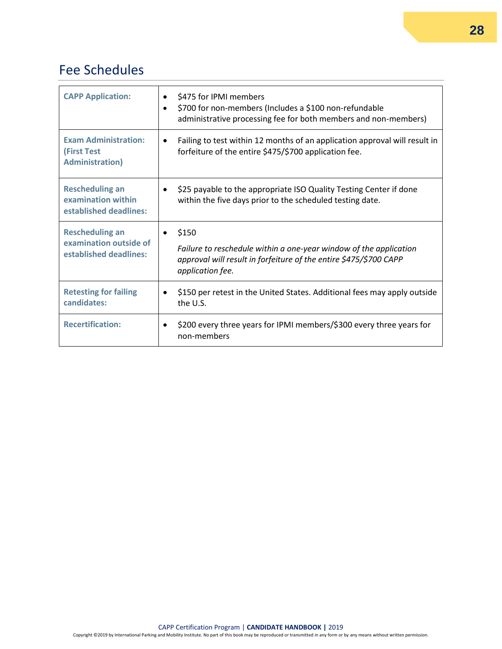# <span id="page-27-0"></span>Fee Schedules

| <b>CAPP Application:</b>                                                     | \$475 for IPMI members<br>$\bullet$<br>\$700 for non-members (Includes a \$100 non-refundable<br>$\bullet$<br>administrative processing fee for both members and non-members)    |
|------------------------------------------------------------------------------|----------------------------------------------------------------------------------------------------------------------------------------------------------------------------------|
| <b>Exam Administration:</b><br><b>(First Test</b><br><b>Administration</b> ) | Failing to test within 12 months of an application approval will result in<br>$\bullet$<br>forfeiture of the entire \$475/\$700 application fee.                                 |
| <b>Rescheduling an</b><br>examination within<br>established deadlines:       | \$25 payable to the appropriate ISO Quality Testing Center if done<br>٠<br>within the five days prior to the scheduled testing date.                                             |
| <b>Rescheduling an</b><br>examination outside of<br>established deadlines:   | \$150<br>$\bullet$<br>Failure to reschedule within a one-year window of the application<br>approval will result in forfeiture of the entire \$475/\$700 CAPP<br>application fee. |
| <b>Retesting for failing</b><br>candidates:                                  | \$150 per retest in the United States. Additional fees may apply outside<br>$\bullet$<br>the U.S.                                                                                |
| <b>Recertification:</b>                                                      | \$200 every three years for IPMI members/\$300 every three years for<br>$\bullet$<br>non-members                                                                                 |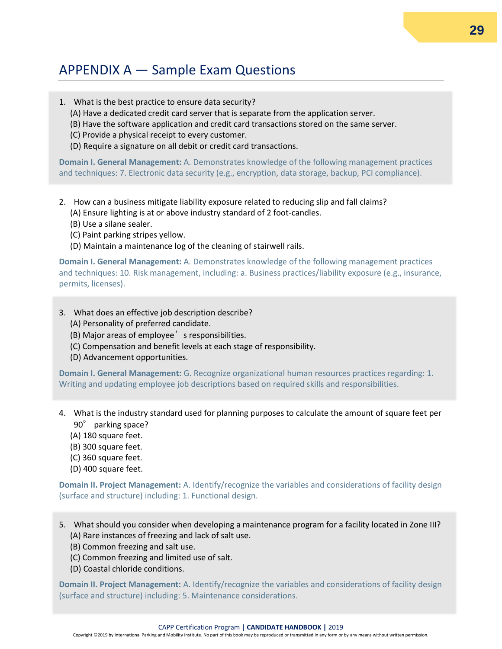# <span id="page-28-0"></span>APPENDIX A — Sample Exam Questions

- 1. What is the best practice to ensure data security?
	- (A) Have a dedicated credit card server that is separate from the application server.
	- (B) Have the software application and credit card transactions stored on the same server.
	- (C) Provide a physical receipt to every customer.
	- (D) Require a signature on all debit or credit card transactions.

**Domain I. General Management:** A. Demonstrates knowledge of the following management practices and techniques: 7. Electronic data security (e.g., encryption, data storage, backup, PCI compliance).

- 2. How can a business mitigate liability exposure related to reducing slip and fall claims? (A) Ensure lighting is at or above industry standard of 2 foot-candles.
	- (B) Use a silane sealer.
	- (C) Paint parking stripes yellow.
	- (D) Maintain a maintenance log of the cleaning of stairwell rails.

**Domain I. General Management:** A. Demonstrates knowledge of the following management practices and techniques: 10. Risk management, including: a. Business practices/liability exposure (e.g., insurance, permits, licenses).

- 3. What does an effective job description describe?
	- (A) Personality of preferred candidate.
	- (B) Major areas of employee' s responsibilities.
	- (C) Compensation and benefit levels at each stage of responsibility.
	- (D) Advancement opportunities.

**Domain I. General Management:** G. Recognize organizational human resources practices regarding: 1. Writing and updating employee job descriptions based on required skills and responsibilities.

- 4. What is the industry standard used for planning purposes to calculate the amount of square feet per
	- 90° parking space?
	- (A) 180 square feet.
	- (B) 300 square feet.
	- (C) 360 square feet.
	- (D) 400 square feet.

**Domain II. Project Management:** A. Identify/recognize the variables and considerations of facility design (surface and structure) including: 1. Functional design.

- 5. What should you consider when developing a maintenance program for a facility located in Zone III? (A) Rare instances of freezing and lack of salt use.
	- (B) Common freezing and salt use.
	- (C) Common freezing and limited use of salt.
	- (D) Coastal chloride conditions.

**Domain II. Project Management:** A. Identify/recognize the variables and considerations of facility design (surface and structure) including: 5. Maintenance considerations.

#### CAPP Certification Program | **CANDIDATE HANDBOOK |** 2019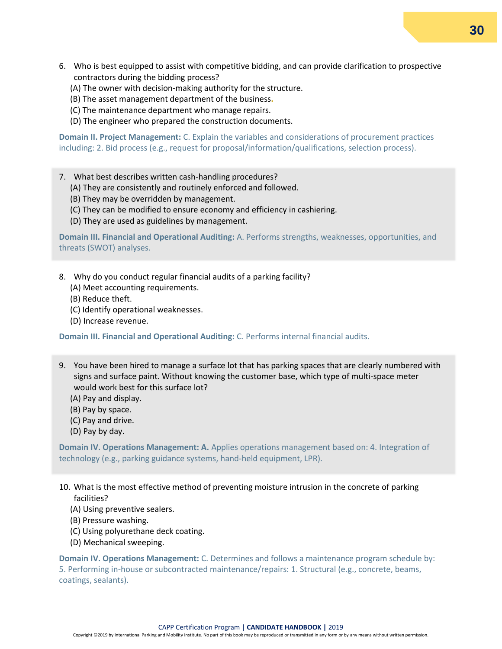- 6. Who is best equipped to assist with competitive bidding, and can provide clarification to prospective contractors during the bidding process?
	- (A) The owner with decision-making authority for the structure.
	- (B) The asset management department of the business**.**
	- (C) The maintenance department who manage repairs.
	- (D) The engineer who prepared the construction documents.

**Domain II. Project Management:** C. Explain the variables and considerations of procurement practices including: 2. Bid process (e.g., request for proposal/information/qualifications, selection process).

- 7. What best describes written cash-handling procedures?
	- (A) They are consistently and routinely enforced and followed.
	- (B) They may be overridden by management.
	- (C) They can be modified to ensure economy and efficiency in cashiering.
	- (D) They are used as guidelines by management.

**Domain III. Financial and Operational Auditing:** A. Performs strengths, weaknesses, opportunities, and threats (SWOT) analyses.

- 8. Why do you conduct regular financial audits of a parking facility?
	- (A) Meet accounting requirements.
	- (B) Reduce theft.
	- (C) Identify operational weaknesses.
	- (D) Increase revenue.

**Domain III. Financial and Operational Auditing:** C. Performs internal financial audits.

- 9. You have been hired to manage a surface lot that has parking spaces that are clearly numbered with signs and surface paint. Without knowing the customer base, which type of multi-space meter would work best for this surface lot?
	- (A) Pay and display.
	- (B) Pay by space.
	- (C) Pay and drive.
	- (D) Pay by day.

**Domain IV. Operations Management: A.** Applies operations management based on: 4. Integration of technology (e.g., parking guidance systems, hand-held equipment, LPR).

- 10. What is the most effective method of preventing moisture intrusion in the concrete of parking facilities?
	- (A) Using preventive sealers.
	- (B) Pressure washing.
	- (C) Using polyurethane deck coating.
	- (D) Mechanical sweeping.

**Domain IV. Operations Management:** C. Determines and follows a maintenance program schedule by: 5. Performing in-house or subcontracted maintenance/repairs: 1. Structural (e.g., concrete, beams, coatings, sealants).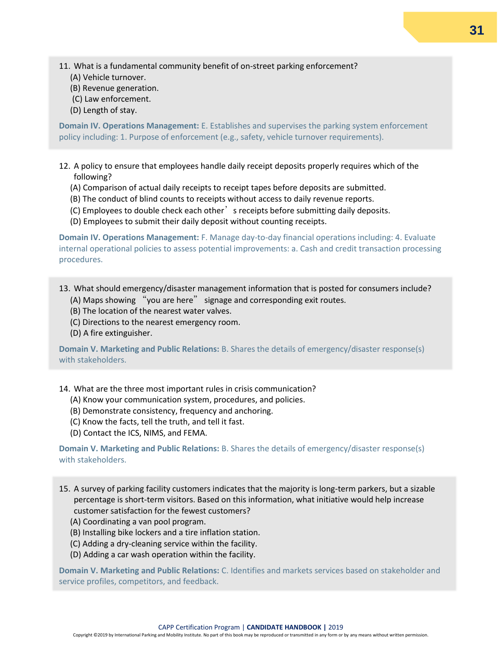- 11. What is a fundamental community benefit of on-street parking enforcement?
	- (A) Vehicle turnover.
	- (B) Revenue generation.
	- (C) Law enforcement.
	- (D) Length of stay.

**Domain IV. Operations Management:** E. Establishes and supervises the parking system enforcement policy including: 1. Purpose of enforcement (e.g., safety, vehicle turnover requirements).

- 12. A policy to ensure that employees handle daily receipt deposits properly requires which of the following?
	- (A) Comparison of actual daily receipts to receipt tapes before deposits are submitted.
	- (B) The conduct of blind counts to receipts without access to daily revenue reports.
	- (C) Employees to double check each other' s receipts before submitting daily deposits.
	- (D) Employees to submit their daily deposit without counting receipts.

**Domain IV. Operations Management:** F. Manage day-to-day financial operations including: 4. Evaluate internal operational policies to assess potential improvements: a. Cash and credit transaction processing procedures.

#### 13. What should emergency/disaster management information that is posted for consumers include?

- (A) Maps showing "you are here" signage and corresponding exit routes.
- (B) The location of the nearest water valves.
- (C) Directions to the nearest emergency room.
- (D) A fire extinguisher.

**Domain V. Marketing and Public Relations:** B. Shares the details of emergency/disaster response(s) with stakeholders.

14. What are the three most important rules in crisis communication?

- (A) Know your communication system, procedures, and policies.
- (B) Demonstrate consistency, frequency and anchoring.
- (C) Know the facts, tell the truth, and tell it fast.
- (D) Contact the ICS, NIMS, and FEMA.

**Domain V. Marketing and Public Relations:** B. Shares the details of emergency/disaster response(s) with stakeholders.

- 15. A survey of parking facility customers indicates that the majority is long-term parkers, but a sizable percentage is short-term visitors. Based on this information, what initiative would help increase customer satisfaction for the fewest customers?
	- (A) Coordinating a van pool program.
	- (B) Installing bike lockers and a tire inflation station.
	- (C) Adding a dry-cleaning service within the facility.
	- (D) Adding a car wash operation within the facility.

**Domain V. Marketing and Public Relations:** C. Identifies and markets services based on stakeholder and service profiles, competitors, and feedback.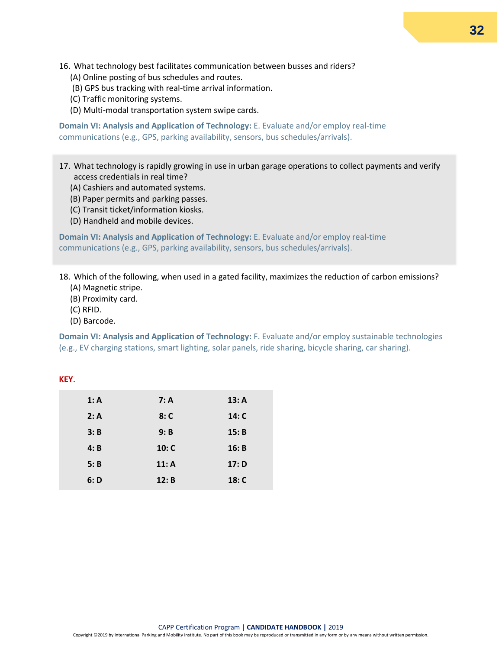- 16. What technology best facilitates communication between busses and riders?
	- (A) Online posting of bus schedules and routes.
	- (B) GPS bus tracking with real-time arrival information.
	- (C) Traffic monitoring systems.
	- (D) Multi-modal transportation system swipe cards.

**Domain VI: Analysis and Application of Technology:** E. Evaluate and/or employ real-time communications (e.g., GPS, parking availability, sensors, bus schedules/arrivals).

- 17. What technology is rapidly growing in use in urban garage operations to collect payments and verify access credentials in real time?
	- (A) Cashiers and automated systems.
	- (B) Paper permits and parking passes.
	- (C) Transit ticket/information kiosks.
	- (D) Handheld and mobile devices.

**Domain VI: Analysis and Application of Technology:** E. Evaluate and/or employ real-time communications (e.g., GPS, parking availability, sensors, bus schedules/arrivals).

18. Which of the following, when used in a gated facility, maximizes the reduction of carbon emissions? (A) Magnetic stripe.

- (B) Proximity card.
- (C) RFID.
- (D) Barcode.

**Domain VI: Analysis and Application of Technology:** F. Evaluate and/or employ sustainable technologies (e.g., EV charging stations, smart lighting, solar panels, ride sharing, bicycle sharing, car sharing).

| 1: A | 7: A  | 13: A |
|------|-------|-------|
| 2: A | 8: C  | 14: C |
| 3: B | 9: B  | 15: B |
| 4: B | 10: C | 16: B |
| 5: B | 11: A | 17: D |
| 6: D | 12: B | 18: C |
|      |       |       |

#### **KEY**.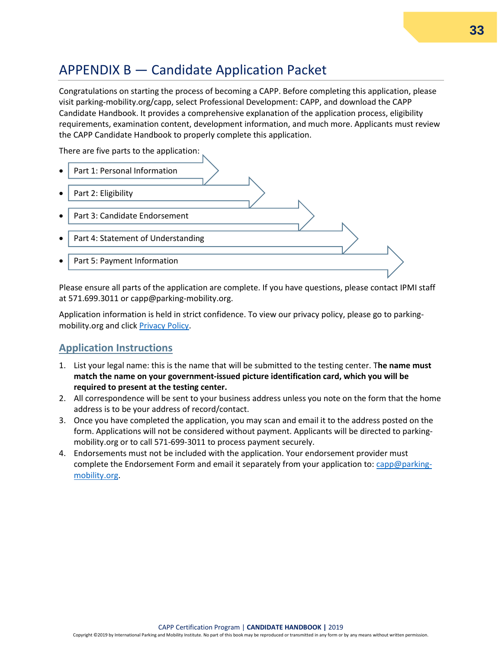# <span id="page-32-0"></span>APPENDIX B — Candidate Application Packet

Congratulations on starting the process of becoming a CAPP. Before completing this application, please visit parking-mobility.org/capp, select Professional Development: CAPP, and download the CAPP Candidate Handbook. It provides a comprehensive explanation of the application process, eligibility requirements, examination content, development information, and much more. Applicants must review the CAPP Candidate Handbook to properly complete this application.

There are five parts to the application:



Please ensure all parts of the application are complete. If you have questions, please contact IPMI staff at 571.699.3011 or capp@parking-mobility.org.

Application information is held in strict confidence. To view our privacy policy, please go to parkingmobility.org and click [Privacy Policy.](https://www.parking-mobility.org/privacy-policy/)

### <span id="page-32-1"></span>**Application Instructions**

- 1. List your legal name: this is the name that will be submitted to the testing center. T**he name must match the name on your government-issued picture identification card, which you will be required to present at the testing center.**
- 2. All correspondence will be sent to your business address unless you note on the form that the home address is to be your address of record/contact.
- 3. Once you have completed the application, you may scan and email it to the address posted on the form. Applications will not be considered without payment. Applicants will be directed to parkingmobility.org or to call 571-699-3011 to process payment securely.
- 4. Endorsements must not be included with the application. Your endorsement provider must complete the Endorsement Form and email it separately from your application to: [capp@parking](mailto:capp@parking-mobility.org)[mobility.org.](mailto:capp@parking-mobility.org)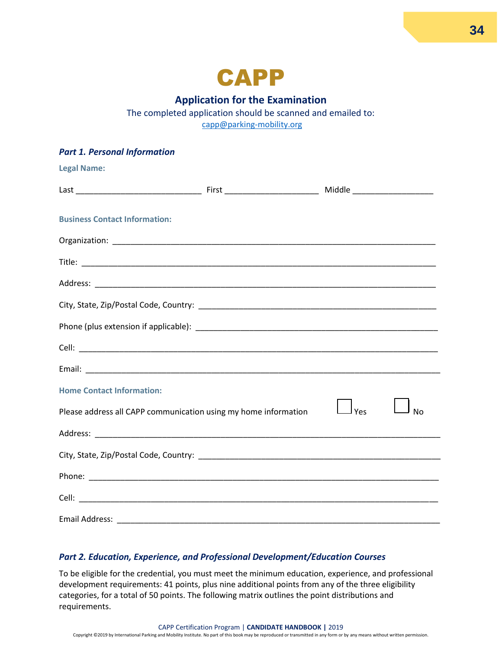

#### **Application for the Examination**

The completed application should be scanned and emailed to: [capp@parking-mobility.org](mailto:capp@parking-mobility.org)

| <b>Part 1. Personal Information</b>                             |     |           |
|-----------------------------------------------------------------|-----|-----------|
| <b>Legal Name:</b>                                              |     |           |
|                                                                 |     |           |
| <b>Business Contact Information:</b>                            |     |           |
|                                                                 |     |           |
|                                                                 |     |           |
|                                                                 |     |           |
|                                                                 |     |           |
|                                                                 |     |           |
|                                                                 |     |           |
|                                                                 |     |           |
| <b>Home Contact Information:</b>                                |     |           |
| Please address all CAPP communication using my home information | Yes | <b>No</b> |
|                                                                 |     |           |
|                                                                 |     |           |
|                                                                 |     |           |
|                                                                 |     |           |
|                                                                 |     |           |

#### *Part 2. Education, Experience, and Professional Development/Education Courses*

To be eligible for the credential, you must meet the minimum education, experience, and professional development requirements: 41 points, plus nine additional points from any of the three eligibility categories, for a total of 50 points. The following matrix outlines the point distributions and requirements.

**34**

#### CAPP Certification Program | **CANDIDATE HANDBOOK |** 2019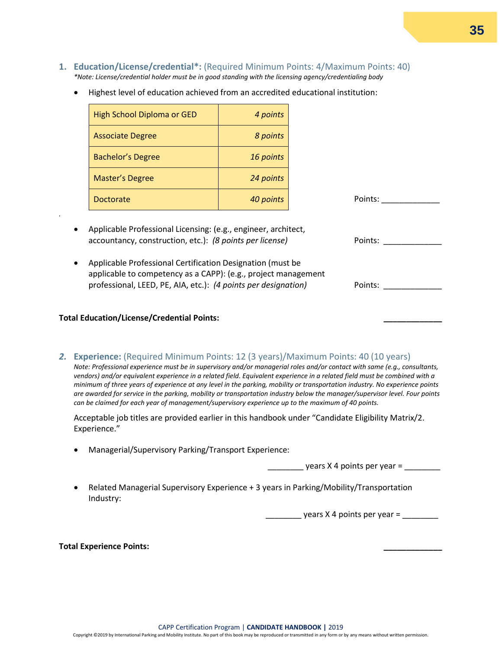- **1. Education/License/credential\*:** (Required Minimum Points: 4/Maximum Points: 40) *\*Note: License/credential holder must be in good standing with the licensing agency/credentialing body*
	- Highest level of education achieved from an accredited educational institution:

| High School Diploma or GED | 4 points  |
|----------------------------|-----------|
| <b>Associate Degree</b>    | 8 points  |
| <b>Bachelor's Degree</b>   | 16 points |
| <b>Master's Degree</b>     | 24 points |
| Doctorate                  | 40 points |

- Applicable Professional Licensing: (e.g., engineer, architect, accountancy, construction, etc.): *(8 points per license)* Points: \_\_\_\_\_\_\_\_\_\_\_\_\_
- Applicable Professional Certification Designation (must be applicable to competency as a CAPP): (e.g., project management professional, LEED, PE, AIA, etc.): *(4 points per designation)* Points: \_\_\_\_\_\_\_\_\_\_\_\_\_

#### **Total Education/License/Credential Points: \_\_\_\_\_\_\_\_\_\_\_\_\_**

*.*

*2.* **Experience:** (Required Minimum Points: 12 (3 years)/Maximum Points: 40 (10 years)

*Note: Professional experience must be in supervisory and/or managerial roles and/or contact with same (e.g., consultants, vendors) and/or equivalent experience in a related field. Equivalent experience in a related field must be combined with a minimum of three years of experience at any level in the parking, mobility or transportation industry. No experience points are awarded for service in the parking, mobility or transportation industry below the manager/supervisor level. Four points can be claimed for each year of management/supervisory experience up to the maximum of 40 points.* 

Acceptable job titles are provided earlier in this handbook under "Candidate Eligibility Matrix/2. Experience."

• Managerial/Supervisory Parking/Transport Experience:

 $\gamma$  years X 4 points per year =

Points: \_\_\_\_\_\_\_\_\_\_\_\_\_\_

• Related Managerial Supervisory Experience + 3 years in Parking/Mobility/Transportation Industry:

 $\frac{1}{2}$  years X 4 points per year =  $\frac{1}{2}$ 

#### **Total Experience Points: \_\_\_\_\_\_\_\_\_\_\_\_\_**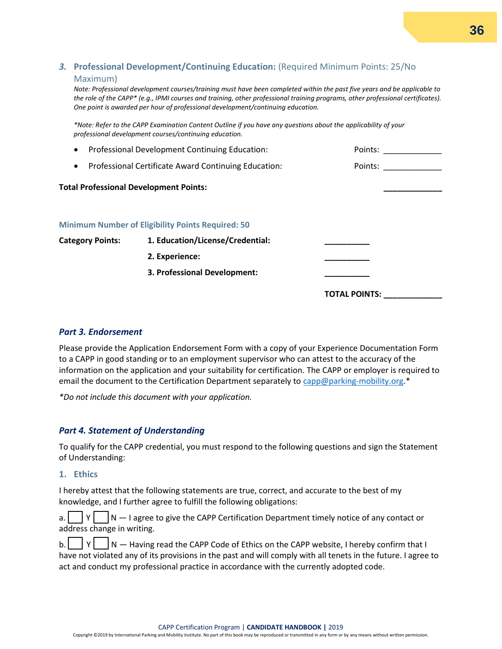#### *3.* **Professional Development/Continuing Education:** (Required Minimum Points: 25/No Maximum)

*Note: Professional development courses/training must have been completed within the past five years and be applicable to the role of the CAPP\* (e.g., IPMI courses and training, other professional training programs, other professional certificates). One point is awarded per hour of professional development/continuing education.* 

*\*Note: Refer to the CAPP Examination Content Outline if you have any questions about the applicability of your professional development courses/continuing education.* 

| Professional Development Continuing Education:<br>$\bullet$       |                                                          | Points:              |
|-------------------------------------------------------------------|----------------------------------------------------------|----------------------|
| Professional Certificate Award Continuing Education:<br>$\bullet$ |                                                          | Points:              |
| <b>Total Professional Development Points:</b>                     |                                                          |                      |
|                                                                   | <b>Minimum Number of Eligibility Points Required: 50</b> |                      |
| <b>Category Points:</b>                                           | 1. Education/License/Credential:                         |                      |
|                                                                   | 2. Experience:                                           |                      |
|                                                                   | 3. Professional Development:                             |                      |
|                                                                   |                                                          | <b>TOTAL POINTS:</b> |

#### *Part 3. Endorsement*

Please provide the Application Endorsement Form with a copy of your Experience Documentation Form to a CAPP in good standing or to an employment supervisor who can attest to the accuracy of the information on the application and your suitability for certification. The CAPP or employer is required to email the document to the Certification Department separately t[o capp@parking-mobility.org.](mailto:capp@parking-mobility.org)\*

*\*Do not include this document with your application.*

#### *Part 4. Statement of Understanding*

To qualify for the CAPP credential, you must respond to the following questions and sign the Statement of Understanding:

#### **1. Ethics**

I hereby attest that the following statements are true, correct, and accurate to the best of my knowledge, and I further agree to fulfill the following obligations:

|  |  | a. $\vert \vert \vert \vert \vert = \vert N \vert$ I agree to give the CAPP Certification Department timely notice of any contact or |
|--|--|--------------------------------------------------------------------------------------------------------------------------------------|
|  |  | address change in writing.                                                                                                           |

|  | b. $ Y $ $ N -$ Having read the CAPP Code of Ethics on the CAPP website, I hereby confirm that I              |
|--|---------------------------------------------------------------------------------------------------------------|
|  | have not violated any of its provisions in the past and will comply with all tenets in the future. I agree to |
|  | act and conduct my professional practice in accordance with the currently adopted code.                       |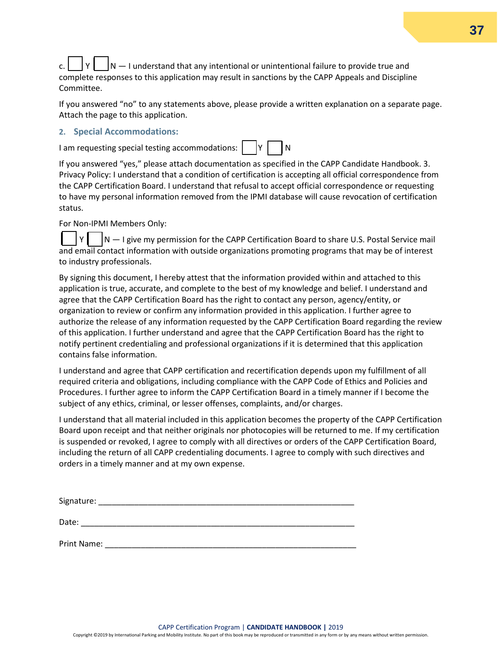$\sqrt{N-1}$  understand that any intentional or unintentional failure to provide true and complete responses to this application may result in sanctions by the CAPP Appeals and Discipline Committee.

If you answered "no" to any statements above, please provide a written explanation on a separate page. Attach the page to this application.

#### **2. Special Accommodations:**

I am requesting special testing accommodations:  $\begin{bmatrix} Y \end{bmatrix}$   $\begin{bmatrix} N \end{bmatrix}$ 

If you answered "yes," please attach documentation as specified in the CAPP Candidate Handbook. 3. Privacy Policy: I understand that a condition of certification is accepting all official correspondence from the CAPP Certification Board. I understand that refusal to accept official correspondence or requesting to have my personal information removed from the IPMI database will cause revocation of certification status.

For Non-IPMI Members Only:

 $Y \parallel \quad |N - 1|$  give my permission for the CAPP Certification Board to share U.S. Postal Service mail and email contact information with outside organizations promoting programs that may be of interest to industry professionals.

By signing this document, I hereby attest that the information provided within and attached to this application is true, accurate, and complete to the best of my knowledge and belief. I understand and agree that the CAPP Certification Board has the right to contact any person, agency/entity, or organization to review or confirm any information provided in this application. I further agree to authorize the release of any information requested by the CAPP Certification Board regarding the review of this application. I further understand and agree that the CAPP Certification Board has the right to notify pertinent credentialing and professional organizations if it is determined that this application contains false information.

I understand and agree that CAPP certification and recertification depends upon my fulfillment of all required criteria and obligations, including compliance with the CAPP Code of Ethics and Policies and Procedures. I further agree to inform the CAPP Certification Board in a timely manner if I become the subject of any ethics, criminal, or lesser offenses, complaints, and/or charges.

I understand that all material included in this application becomes the property of the CAPP Certification Board upon receipt and that neither originals nor photocopies will be returned to me. If my certification is suspended or revoked, I agree to comply with all directives or orders of the CAPP Certification Board, including the return of all CAPP credentialing documents. I agree to comply with such directives and orders in a timely manner and at my own expense.

Signature: \_\_\_\_\_\_\_\_\_\_\_\_\_\_\_\_\_\_\_\_\_\_\_\_\_\_\_\_\_\_\_\_\_\_\_\_\_\_\_\_\_\_\_\_\_\_\_\_\_\_\_\_\_\_\_\_\_ Date:  $\Box$ 

Print Name: \_\_\_\_\_\_\_\_\_\_\_\_\_\_\_\_\_\_\_\_\_\_\_\_\_\_\_\_\_\_\_\_\_\_\_\_\_\_\_\_\_\_\_\_\_\_\_\_\_\_\_\_\_\_\_\_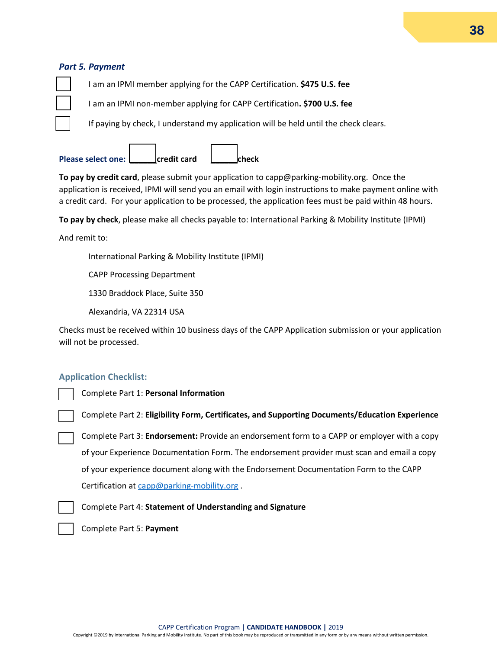#### *Part 5. Payment*

☐ I am an IPMI member applying for the CAPP Certification. **\$475 U.S. fee**

☐ I am an IPMI non-member applying for CAPP Certification**. \$700 U.S. fee**

If paying by check, I understand my application will be held until the check clears.

**Please select one: \_\_\_\_\_\_credit card \_\_\_\_\_\_check**

**To pay by credit card**, please submit your application to capp@parking-mobility.org. Once the application is received, IPMI will send you an email with login instructions to make payment online with a credit card. For your application to be processed, the application fees must be paid within 48 hours.

**To pay by check**, please make all checks payable to: International Parking & Mobility Institute (IPMI)

And remit to:

International Parking & Mobility Institute (IPMI)

CAPP Processing Department

1330 Braddock Place, Suite 350

Alexandria, VA 22314 USA

Checks must be received within 10 business days of the CAPP Application submission or your application will not be processed.

#### **Application Checklist:**

Complete Part 1: **Personal Information**

Complete Part 2: **Eligibility Form, Certificates, and Supporting Documents/Education Experience**

Complete Part 3: **Endorsement:** Provide an endorsement form to a CAPP or employer with a copy of your Experience Documentation Form. The endorsement provider must scan and email a copy of your experience document along with the Endorsement Documentation Form to the CAPP Certification at [capp@parking-mobility.org](mailto:capp@parking-mobility.org) .

Complete Part 4: **Statement of Understanding and Signature**



Complete Part 5: **Payment**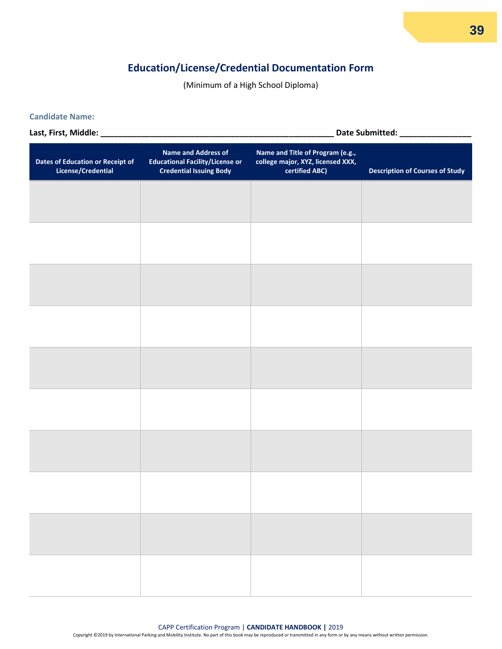### **Education/License/Credential Documentation Form**

(Minimum of a High School Diploma)

#### **Candidate Name:**

**Last, First, Middle: \_\_\_\_\_\_\_\_\_\_\_\_\_\_\_\_\_\_\_\_\_\_\_\_\_\_\_\_\_\_\_\_\_\_\_\_\_\_\_\_\_\_\_\_\_\_\_\_\_\_\_\_ Date Submitted: \_\_\_\_\_\_\_\_\_\_\_\_\_\_\_\_**

**Dates of Education or Receipt of License/Credential Name and Address of Educational Facility/License or Credential Issuing Body Name and Title of Program (e.g., college major, XYZ, licensed XXX, certified ABC) Description of Courses of Study**

### **39**

#### CAPP Certification Program | **CANDIDATE HANDBOOK |** 2019

Copyright ©2019 by International Parking and Mobility Institute. No part of this book may be reproduced or transmitted in any form or by any means without written permission.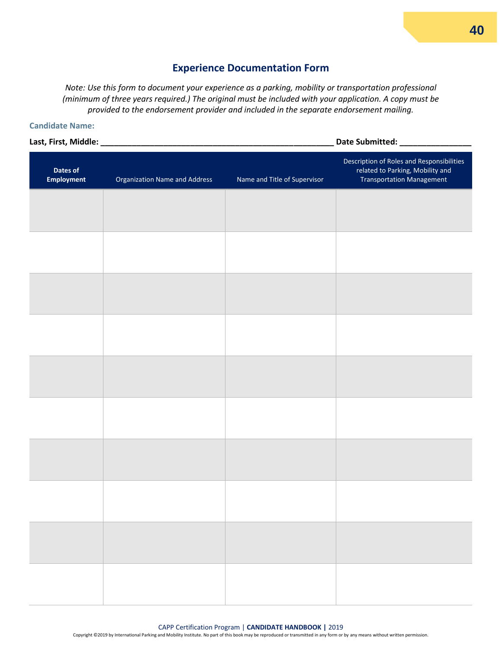#### **Experience Documentation Form**

*Note: Use this form to document your experience as a parking, mobility or transportation professional (minimum of three years required.) The original must be included with your application. A copy must be provided to the endorsement provider and included in the separate endorsement mailing.*

#### **Candidate Name:**

**Last, First, Middle: \_\_\_\_\_\_\_\_\_\_\_\_\_\_\_\_\_\_\_\_\_\_\_\_\_\_\_\_\_\_\_\_\_\_\_\_\_\_\_\_\_\_\_\_\_\_\_\_\_\_\_\_ Date Submitted: \_\_\_\_\_\_\_\_\_\_\_\_\_\_\_\_**

| Dates of<br><b>Employment</b> | <b>Organization Name and Address</b> | Name and Title of Supervisor | Description of Roles and Responsibilities<br>related to Parking, Mobility and<br><b>Transportation Management</b> |
|-------------------------------|--------------------------------------|------------------------------|-------------------------------------------------------------------------------------------------------------------|
|                               |                                      |                              |                                                                                                                   |
|                               |                                      |                              |                                                                                                                   |
|                               |                                      |                              |                                                                                                                   |
|                               |                                      |                              |                                                                                                                   |
|                               |                                      |                              |                                                                                                                   |
|                               |                                      |                              |                                                                                                                   |
|                               |                                      |                              |                                                                                                                   |
|                               |                                      |                              |                                                                                                                   |
|                               |                                      |                              |                                                                                                                   |
|                               |                                      |                              |                                                                                                                   |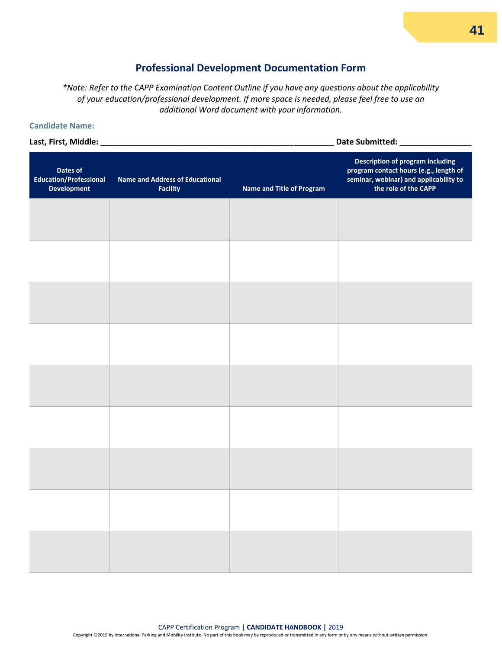#### **Professional Development Documentation Form**

*\*Note: Refer to the CAPP Examination Content Outline if you have any questions about the applicability of your education/professional development. If more space is needed, please feel free to use an additional Word document with your information.*

#### **Candidate Name:**

**Last, First, Middle: \_\_\_\_\_\_\_\_\_\_\_\_\_\_\_\_\_\_\_\_\_\_\_\_\_\_\_\_\_\_\_\_\_\_\_\_\_\_\_\_\_\_\_\_\_\_\_\_\_\_\_\_ Date Submitted: \_\_\_\_\_\_\_\_\_\_\_\_\_\_\_\_**

**Dates of Education/Professional Development Name and Address of Educational Facility Name and Title of Program Description of program including program contact hours (e.g., length of seminar, webinar) and applicability to the role of the CAPP**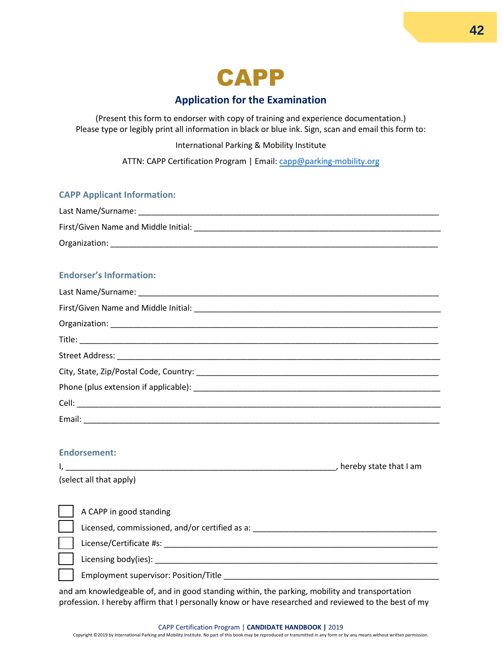

#### **Application for the Examination**

(Present this form to endorser with copy of training and experience documentation.) Please type or legibly print all information in black or blue ink. Sign, scan and email this form to:

International Parking & Mobility Institute

ATTN: CAPP Certification Program | Email[: capp@parking-mobility.org](mailto:capp@parking-mobility.org)

#### **CAPP Applicant Information:**

| Last Name/Surname:                   |
|--------------------------------------|
| First/Given Name and Middle Initial: |
| Organization:                        |

#### **Endorser's Information:**

#### **Endorsement:**

|                                                | hereby state that I am |
|------------------------------------------------|------------------------|
| (select all that apply)                        |                        |
|                                                |                        |
| A CAPP in good standing                        |                        |
| Licensed, commissioned, and/or certified as a: |                        |
| License/Certificate #s:                        |                        |
| Licensing body(ies):                           |                        |
| <b>Employment supervisor: Position/Title</b>   |                        |

and am knowledgeable of, and in good standing within, the parking, mobility and transportation profession. I hereby affirm that I personally know or have researched and reviewed to the best of my